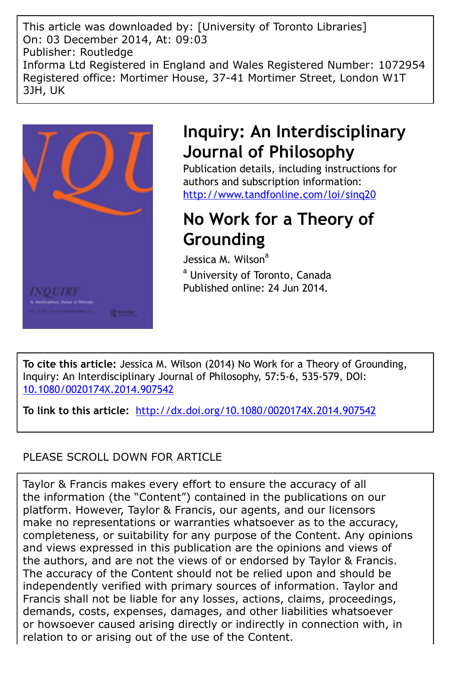This article was downloaded by: [University of Toronto Libraries] On: 03 December 2014, At: 09:03 Publisher: Routledge Informa Ltd Registered in England and Wales Registered Number: 1072954 Registered office: Mortimer House, 37-41 Mortimer Street, London W1T 3JH, UK



## **Inquiry: An Interdisciplinary Journal of Philosophy**

Publication details, including instructions for authors and subscription information: <http://www.tandfonline.com/loi/sinq20>

# **No Work for a Theory of Grounding**

Jessica M. Wilson<sup>a</sup> <sup>a</sup> University of Toronto, Canada Published online: 24 Jun 2014.

**To cite this article:** Jessica M. Wilson (2014) No Work for a Theory of Grounding, Inquiry: An Interdisciplinary Journal of Philosophy, 57:5-6, 535-579, DOI: [10.1080/0020174X.2014.907542](http://www.tandfonline.com/action/showCitFormats?doi=10.1080/0020174X.2014.907542)

**To link to this article:** <http://dx.doi.org/10.1080/0020174X.2014.907542>

## PLEASE SCROLL DOWN FOR ARTICLE

Taylor & Francis makes every effort to ensure the accuracy of all the information (the "Content") contained in the publications on our platform. However, Taylor & Francis, our agents, and our licensors make no representations or warranties whatsoever as to the accuracy, completeness, or suitability for any purpose of the Content. Any opinions and views expressed in this publication are the opinions and views of the authors, and are not the views of or endorsed by Taylor & Francis. The accuracy of the Content should not be relied upon and should be independently verified with primary sources of information. Taylor and Francis shall not be liable for any losses, actions, claims, proceedings, demands, costs, expenses, damages, and other liabilities whatsoever or howsoever caused arising directly or indirectly in connection with, in relation to or arising out of the use of the Content.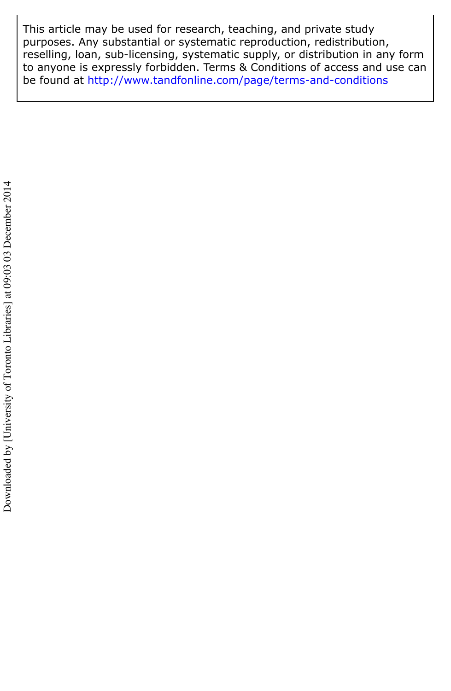This article may be used for research, teaching, and private study purposes. Any substantial or systematic reproduction, redistribution, reselling, loan, sub-licensing, systematic supply, or distribution in any form to anyone is expressly forbidden. Terms & Conditions of access and use can be found at <http://www.tandfonline.com/page/terms-and-conditions>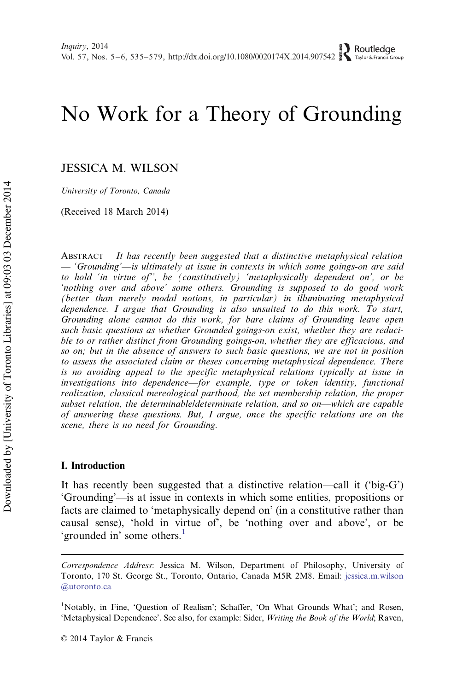# No Work for a Theory of Grounding

## JESSICA M. WILSON

University of Toronto, Canada

(Received 18 March 2014)

ABSTRACT It has recently been suggested that a distinctive metaphysical relation — 'Grounding'—is ultimately at issue in contexts in which some goings-on are said to hold 'in virtue of'', be (constitutively) 'metaphysically dependent on', or be 'nothing over and above' some others. Grounding is supposed to do good work (better than merely modal notions, in particular) in illuminating metaphysical dependence. I argue that Grounding is also unsuited to do this work. To start, Grounding alone cannot do this work, for bare claims of Grounding leave open such basic questions as whether Grounded goings-on exist, whether they are reducible to or rather distinct from Grounding goings-on, whether they are efficacious, and so on; but in the absence of answers to such basic questions, we are not in position to assess the associated claim or theses concerning metaphysical dependence. There is no avoiding appeal to the specific metaphysical relations typically at issue in investigations into dependence—for example, type or token identity, functional realization, classical mereological parthood, the set membership relation, the proper subset relation, the determinable/determinate relation, and so on—which are capable of answering these questions. But, I argue, once the specific relations are on the scene, there is no need for Grounding.

#### I. Introduction

It has recently been suggested that a distinctive relation—call it ('big-G') 'Grounding'—is at issue in contexts in which some entities, propositions or facts are claimed to 'metaphysically depend on' (in a constitutive rather than causal sense), 'hold in virtue of', be 'nothing over and above', or be 'grounded in' some others.<sup>1</sup>

Correspondence Address: Jessica M. Wilson, Department of Philosophy, University of Toronto, 170 St. George St., Toronto, Ontario, Canada M5R 2M8. Email: [jessica.m.wilson](mailto:jessica.m.wilson@utoronto.ca) [@utoronto.ca](mailto:jessica.m.wilson@utoronto.ca)

<sup>&</sup>lt;sup>1</sup>Notably, in Fine, 'Question of Realism'; Schaffer, 'On What Grounds What'; and Rosen, 'Metaphysical Dependence'. See also, for example: Sider, Writing the Book of the World; Raven,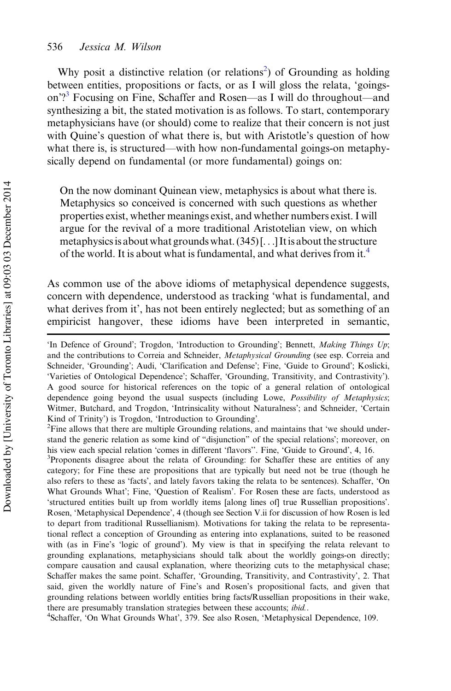Why posit a distinctive relation (or relations<sup>2</sup>) of Grounding as holding between entities, propositions or facts, or as I will gloss the relata, 'goingson'? <sup>3</sup> Focusing on Fine, Schaffer and Rosen—as I will do throughout—and synthesizing a bit, the stated motivation is as follows. To start, contemporary metaphysicians have (or should) come to realize that their concern is not just with Quine's question of what there is, but with Aristotle's question of how what there is, is structured—with how non-fundamental goings-on metaphysically depend on fundamental (or more fundamental) goings on:

On the now dominant Quinean view, metaphysics is about what there is. Metaphysics so conceived is concerned with such questions as whether properties exist, whether meanings exist, and whether numbers exist. I will argue for the revival of a more traditional Aristotelian view, on which metaphysics is about what grounds what. (345) [. . .] Itis about the structure of the world. It is about what is fundamental, and what derives from it.<sup>4</sup>

As common use of the above idioms of metaphysical dependence suggests, concern with dependence, understood as tracking 'what is fundamental, and what derives from it', has not been entirely neglected; but as something of an empiricist hangover, these idioms have been interpreted in semantic,

<sup>2</sup>Fine allows that there are multiple Grounding relations, and maintains that 'we should understand the generic relation as some kind of "disjunction" of the special relations'; moreover, on his view each special relation 'comes in different 'flavors''. Fine, 'Guide to Ground', 4, 16.

<sup>3</sup>Proponents disagree about the relata of Grounding: for Schaffer these are entities of any category; for Fine these are propositions that are typically but need not be true (though he also refers to these as 'facts', and lately favors taking the relata to be sentences). Schaffer, 'On What Grounds What'; Fine, 'Question of Realism'. For Rosen these are facts, understood as 'structured entities built up from worldly items [along lines of] true Russellian propositions'. Rosen, 'Metaphysical Dependence', 4 (though see Section V.ii for discussion of how Rosen is led to depart from traditional Russellianism). Motivations for taking the relata to be representational reflect a conception of Grounding as entering into explanations, suited to be reasoned with (as in Fine's 'logic of ground'). My view is that in specifying the relata relevant to grounding explanations, metaphysicians should talk about the worldly goings-on directly; compare causation and causal explanation, where theorizing cuts to the metaphysical chase; Schaffer makes the same point. Schaffer, 'Grounding, Transitivity, and Contrastivity', 2. That said, given the worldly nature of Fine's and Rosen's propositional facts, and given that grounding relations between worldly entities bring facts/Russellian propositions in their wake, there are presumably translation strategies between these accounts; *ibid.*.

<sup>4</sup>Schaffer, 'On What Grounds What', 379. See also Rosen, 'Metaphysical Dependence, 109.

<sup>&#</sup>x27;In Defence of Ground'; Trogdon, 'Introduction to Grounding'; Bennett, Making Things Up; and the contributions to Correia and Schneider, Metaphysical Grounding (see esp. Correia and Schneider, 'Grounding'; Audi, 'Clarification and Defense'; Fine, 'Guide to Ground'; Koslicki, 'Varieties of Ontological Dependence'; Schaffer, 'Grounding, Transitivity, and Contrastivity'). A good source for historical references on the topic of a general relation of ontological dependence going beyond the usual suspects (including Lowe, Possibility of Metaphysics; Witmer, Butchard, and Trogdon, 'Intrinsicality without Naturalness'; and Schneider, 'Certain Kind of Trinity') is Trogdon, 'Introduction to Grounding'.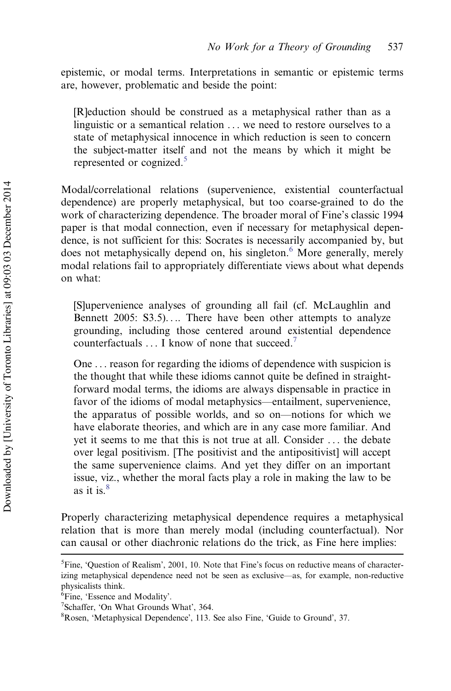epistemic, or modal terms. Interpretations in semantic or epistemic terms are, however, problematic and beside the point:

[R]eduction should be construed as a metaphysical rather than as a linguistic or a semantical relation ... we need to restore ourselves to a state of metaphysical innocence in which reduction is seen to concern the subject-matter itself and not the means by which it might be represented or cognized.<sup>5</sup>

Modal/correlational relations (supervenience, existential counterfactual dependence) are properly metaphysical, but too coarse-grained to do the work of characterizing dependence. The broader moral of Fine's classic 1994 paper is that modal connection, even if necessary for metaphysical dependence, is not sufficient for this: Socrates is necessarily accompanied by, but does not metaphysically depend on, his singleton.<sup>6</sup> More generally, merely modal relations fail to appropriately differentiate views about what depends on what:

[S]upervenience analyses of grounding all fail (cf. McLaughlin and Bennett 2005: S3.5).... There have been other attempts to analyze grounding, including those centered around existential dependence counterfactuals ... I know of none that succeed.<sup>7</sup>

One . . . reason for regarding the idioms of dependence with suspicion is the thought that while these idioms cannot quite be defined in straightforward modal terms, the idioms are always dispensable in practice in favor of the idioms of modal metaphysics—entailment, supervenience, the apparatus of possible worlds, and so on—notions for which we have elaborate theories, and which are in any case more familiar. And yet it seems to me that this is not true at all. Consider . . . the debate over legal positivism. [The positivist and the antipositivist] will accept the same supervenience claims. And yet they differ on an important issue, viz., whether the moral facts play a role in making the law to be as it is. $\frac{8}{3}$ 

Properly characterizing metaphysical dependence requires a metaphysical relation that is more than merely modal (including counterfactual). Nor can causal or other diachronic relations do the trick, as Fine here implies:

<sup>&</sup>lt;sup>5</sup>Fine, 'Question of Realism', 2001, 10. Note that Fine's focus on reductive means of characterizing metaphysical dependence need not be seen as exclusive—as, for example, non-reductive physicalists think.

 $\overline{6}$ Fine, 'Essence and Modality'.<br><sup>7</sup>Schaffer, 'On What Grounds

<sup>&</sup>lt;sup>7</sup>Schaffer, 'On What Grounds What', 364.

Rosen, 'Metaphysical Dependence', 113. See also Fine, 'Guide to Ground', 37.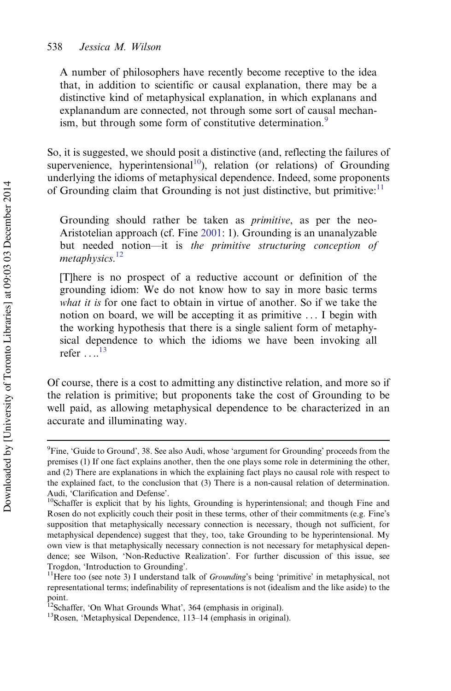## 538 Jessica M. Wilson

A number of philosophers have recently become receptive to the idea that, in addition to scientific or causal explanation, there may be a distinctive kind of metaphysical explanation, in which explanans and explanandum are connected, not through some sort of causal mechanism, but through some form of constitutive determination.<sup>9</sup>

So, it is suggested, we should posit a distinctive (and, reflecting the failures of supervenience, hyperintensional<sup>10</sup>), relation (or relations) of Grounding underlying the idioms of metaphysical dependence. Indeed, some proponents of Grounding claim that Grounding is not just distinctive, but primitive: $11$ 

Grounding should rather be taken as *primitive*, as per the neo-Aristotelian approach (cf. Fine [2001](#page-45-0): 1). Grounding is an unanalyzable but needed notion—it is the primitive structuring conception of metaphysics.<sup>12</sup>

[T]here is no prospect of a reductive account or definition of the grounding idiom: We do not know how to say in more basic terms what it is for one fact to obtain in virtue of another. So if we take the notion on board, we will be accepting it as primitive . . . I begin with the working hypothesis that there is a single salient form of metaphysical dependence to which the idioms we have been invoking all refer  $\dots$ <sup>13</sup>

Of course, there is a cost to admitting any distinctive relation, and more so if the relation is primitive; but proponents take the cost of Grounding to be well paid, as allowing metaphysical dependence to be characterized in an accurate and illuminating way.

<sup>&</sup>lt;sup>9</sup>Fine, 'Guide to Ground', 38. See also Audi, whose 'argument for Grounding' proceeds from the premises (1) If one fact explains another, then the one plays some role in determining the other, and (2) There are explanations in which the explaining fact plays no causal role with respect to the explained fact, to the conclusion that (3) There is a non-causal relation of determination. Audi, 'Clarification and Defense'.<br><sup>10</sup>Schaffer is explicit that by his lights, Grounding is hyperintensional; and though Fine and

Rosen do not explicitly couch their posit in these terms, other of their commitments (e.g. Fine's supposition that metaphysically necessary connection is necessary, though not sufficient, for metaphysical dependence) suggest that they, too, take Grounding to be hyperintensional. My own view is that metaphysically necessary connection is not necessary for metaphysical dependence; see Wilson, 'Non-Reductive Realization'. For further discussion of this issue, see Trogdon, 'Introduction to Grounding'.<br><sup>11</sup>Here too (see note 3) I understand talk of *Grounding*'s being 'primitive' in metaphysical, not

representational terms; indefinability of representations is not (idealism and the like aside) to the point.

<sup>&</sup>lt;sup>12</sup>Schaffer, 'On What Grounds What', 364 (emphasis in original). <sup>13</sup>Rosen, 'Metaphysical Dependence, 113–14 (emphasis in original).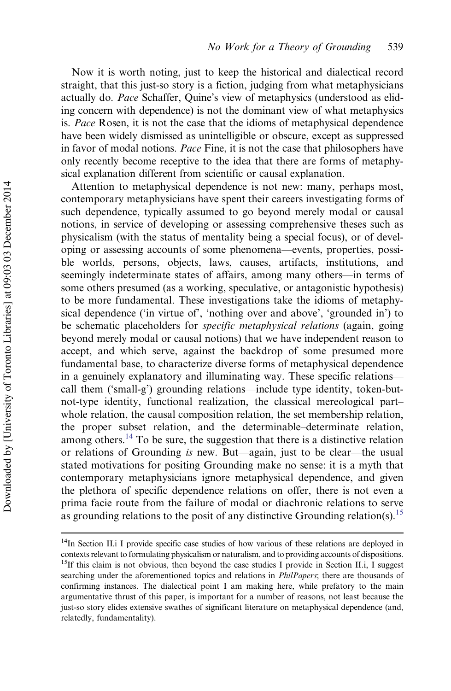Now it is worth noting, just to keep the historical and dialectical record straight, that this just-so story is a fiction, judging from what metaphysicians actually do. Pace Schaffer, Quine's view of metaphysics (understood as eliding concern with dependence) is not the dominant view of what metaphysics is. Pace Rosen, it is not the case that the idioms of metaphysical dependence have been widely dismissed as unintelligible or obscure, except as suppressed in favor of modal notions. Pace Fine, it is not the case that philosophers have only recently become receptive to the idea that there are forms of metaphysical explanation different from scientific or causal explanation.

Attention to metaphysical dependence is not new: many, perhaps most, contemporary metaphysicians have spent their careers investigating forms of such dependence, typically assumed to go beyond merely modal or causal notions, in service of developing or assessing comprehensive theses such as physicalism (with the status of mentality being a special focus), or of developing or assessing accounts of some phenomena—events, properties, possible worlds, persons, objects, laws, causes, artifacts, institutions, and seemingly indeterminate states of affairs, among many others—in terms of some others presumed (as a working, speculative, or antagonistic hypothesis) to be more fundamental. These investigations take the idioms of metaphysical dependence ('in virtue of', 'nothing over and above', 'grounded in') to be schematic placeholders for *specific metaphysical relations* (again, going beyond merely modal or causal notions) that we have independent reason to accept, and which serve, against the backdrop of some presumed more fundamental base, to characterize diverse forms of metaphysical dependence in a genuinely explanatory and illuminating way. These specific relations call them ('small-g') grounding relations—include type identity, token-butnot-type identity, functional realization, the classical mereological part– whole relation, the causal composition relation, the set membership relation, the proper subset relation, and the determinable–determinate relation, among others.<sup>14</sup> To be sure, the suggestion that there is a distinctive relation or relations of Grounding is new. But—again, just to be clear—the usual stated motivations for positing Grounding make no sense: it is a myth that contemporary metaphysicians ignore metaphysical dependence, and given the plethora of specific dependence relations on offer, there is not even a prima facie route from the failure of modal or diachronic relations to serve as grounding relations to the posit of any distinctive Grounding relation(s).<sup>15</sup>

<sup>&</sup>lt;sup>14</sup>In Section II.i I provide specific case studies of how various of these relations are deployed in contexts relevant to formulating physicalism or naturalism, and to providing accounts of dispositions. <sup>15</sup>If this claim is not obvious, then beyond the case studies I provide in Section II.i, I suggest searching under the aforementioned topics and relations in *PhilPapers*; there are thousands of confirming instances. The dialectical point I am making here, while prefatory to the main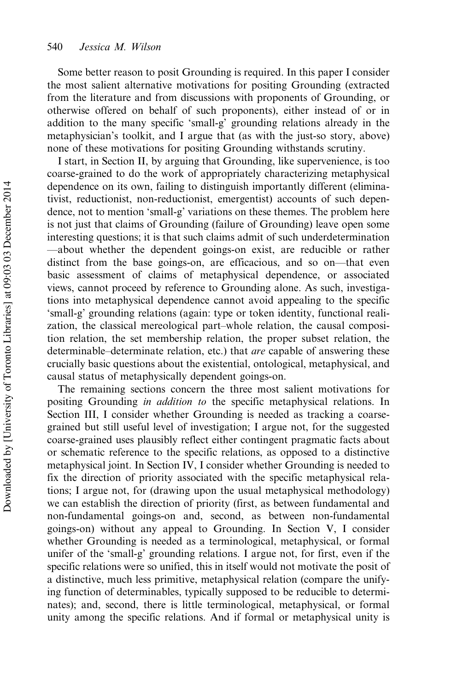Some better reason to posit Grounding is required. In this paper I consider the most salient alternative motivations for positing Grounding (extracted from the literature and from discussions with proponents of Grounding, or otherwise offered on behalf of such proponents), either instead of or in addition to the many specific 'small-g' grounding relations already in the metaphysician's toolkit, and I argue that (as with the just-so story, above) none of these motivations for positing Grounding withstands scrutiny.

I start, in Section II, by arguing that Grounding, like supervenience, is too coarse-grained to do the work of appropriately characterizing metaphysical dependence on its own, failing to distinguish importantly different (eliminativist, reductionist, non-reductionist, emergentist) accounts of such dependence, not to mention 'small-g' variations on these themes. The problem here is not just that claims of Grounding (failure of Grounding) leave open some interesting questions; it is that such claims admit of such underdetermination —about whether the dependent goings-on exist, are reducible or rather distinct from the base goings-on, are efficacious, and so on—that even basic assessment of claims of metaphysical dependence, or associated views, cannot proceed by reference to Grounding alone. As such, investigations into metaphysical dependence cannot avoid appealing to the specific 'small-g' grounding relations (again: type or token identity, functional realization, the classical mereological part–whole relation, the causal composition relation, the set membership relation, the proper subset relation, the determinable–determinate relation, etc.) that *are* capable of answering these crucially basic questions about the existential, ontological, metaphysical, and causal status of metaphysically dependent goings-on.

The remaining sections concern the three most salient motivations for positing Grounding in addition to the specific metaphysical relations. In Section III, I consider whether Grounding is needed as tracking a coarsegrained but still useful level of investigation; I argue not, for the suggested coarse-grained uses plausibly reflect either contingent pragmatic facts about or schematic reference to the specific relations, as opposed to a distinctive metaphysical joint. In Section IV, I consider whether Grounding is needed to fix the direction of priority associated with the specific metaphysical relations; I argue not, for (drawing upon the usual metaphysical methodology) we can establish the direction of priority (first, as between fundamental and non-fundamental goings-on and, second, as between non-fundamental goings-on) without any appeal to Grounding. In Section V, I consider whether Grounding is needed as a terminological, metaphysical, or formal unifer of the 'small-g' grounding relations. I argue not, for first, even if the specific relations were so unified, this in itself would not motivate the posit of a distinctive, much less primitive, metaphysical relation (compare the unifying function of determinables, typically supposed to be reducible to determinates); and, second, there is little terminological, metaphysical, or formal unity among the specific relations. And if formal or metaphysical unity is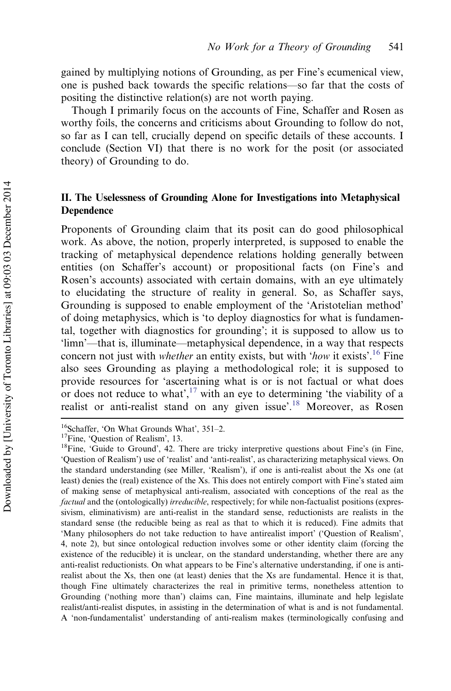gained by multiplying notions of Grounding, as per Fine's ecumenical view, one is pushed back towards the specific relations—so far that the costs of positing the distinctive relation(s) are not worth paying.

Though I primarily focus on the accounts of Fine, Schaffer and Rosen as worthy foils, the concerns and criticisms about Grounding to follow do not, so far as I can tell, crucially depend on specific details of these accounts. I conclude (Section VI) that there is no work for the posit (or associated theory) of Grounding to do.

## II. The Uselessness of Grounding Alone for Investigations into Metaphysical Dependence

Proponents of Grounding claim that its posit can do good philosophical work. As above, the notion, properly interpreted, is supposed to enable the tracking of metaphysical dependence relations holding generally between entities (on Schaffer's account) or propositional facts (on Fine's and Rosen's accounts) associated with certain domains, with an eye ultimately to elucidating the structure of reality in general. So, as Schaffer says, Grounding is supposed to enable employment of the 'Aristotelian method' of doing metaphysics, which is 'to deploy diagnostics for what is fundamental, together with diagnostics for grounding'; it is supposed to allow us to 'limn'—that is, illuminate—metaphysical dependence, in a way that respects concern not just with whether an entity exists, but with 'how it exists'.<sup>16</sup> Fine also sees Grounding as playing a methodological role; it is supposed to provide resources for 'ascertaining what is or is not factual or what does or does not reduce to what', $17$  with an eye to determining 'the viability of a realist or anti-realist stand on any given issue'.<sup>18</sup> Moreover, as Rosen

<sup>&</sup>lt;sup>16</sup>Schaffer, 'On What Grounds What', 351–2.<br><sup>17</sup>Fine, 'Question of Realism', 13. <sup>18</sup>Fine, 'Guide to Ground', 42. There are tricky interpretive questions about Fine's (in Fine, 'Question of Realism') use of 'realist' and 'anti-realist', as characterizing metaphysical views. On the standard understanding (see Miller, 'Realism'), if one is anti-realist about the Xs one (at least) denies the (real) existence of the Xs. This does not entirely comport with Fine's stated aim of making sense of metaphysical anti-realism, associated with conceptions of the real as the factual and the (ontologically) irreducible, respectively; for while non-factualist positions (expressivism, eliminativism) are anti-realist in the standard sense, reductionists are realists in the standard sense (the reducible being as real as that to which it is reduced). Fine admits that 'Many philosophers do not take reduction to have antirealist import' ('Question of Realism', 4, note 2), but since ontological reduction involves some or other identity claim (forcing the existence of the reducible) it is unclear, on the standard understanding, whether there are any anti-realist reductionists. On what appears to be Fine's alternative understanding, if one is antirealist about the Xs, then one (at least) denies that the Xs are fundamental. Hence it is that, though Fine ultimately characterizes the real in primitive terms, nonetheless attention to Grounding ('nothing more than') claims can, Fine maintains, illuminate and help legislate realist/anti-realist disputes, in assisting in the determination of what is and is not fundamental. A 'non-fundamentalist' understanding of anti-realism makes (terminologically confusing and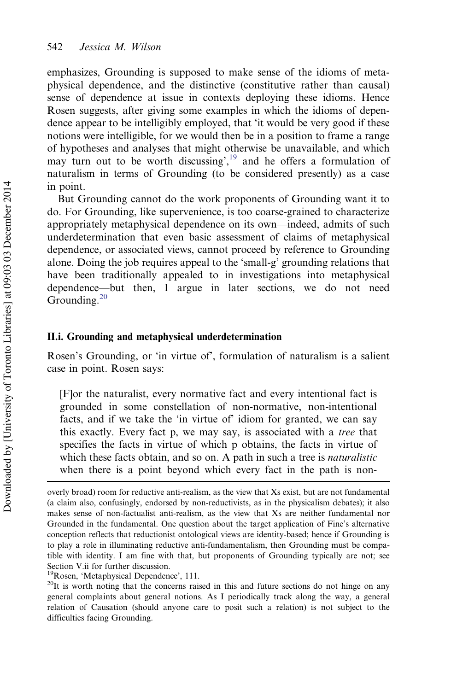emphasizes, Grounding is supposed to make sense of the idioms of metaphysical dependence, and the distinctive (constitutive rather than causal) sense of dependence at issue in contexts deploying these idioms. Hence Rosen suggests, after giving some examples in which the idioms of dependence appear to be intelligibly employed, that 'it would be very good if these notions were intelligible, for we would then be in a position to frame a range of hypotheses and analyses that might otherwise be unavailable, and which may turn out to be worth discussing', <sup>19</sup> and he offers a formulation of naturalism in terms of Grounding (to be considered presently) as a case in point.

But Grounding cannot do the work proponents of Grounding want it to do. For Grounding, like supervenience, is too coarse-grained to characterize appropriately metaphysical dependence on its own—indeed, admits of such underdetermination that even basic assessment of claims of metaphysical dependence, or associated views, cannot proceed by reference to Grounding alone. Doing the job requires appeal to the 'small-g' grounding relations that have been traditionally appealed to in investigations into metaphysical dependence—but then, I argue in later sections, we do not need Grounding.<sup>20</sup>

### II.i. Grounding and metaphysical underdetermination

Rosen's Grounding, or 'in virtue of', formulation of naturalism is a salient case in point. Rosen says:

[F]or the naturalist, every normative fact and every intentional fact is grounded in some constellation of non-normative, non-intentional facts, and if we take the 'in virtue of' idiom for granted, we can say this exactly. Every fact p, we may say, is associated with a tree that specifies the facts in virtue of which p obtains, the facts in virtue of which these facts obtain, and so on. A path in such a tree is *naturalistic* when there is a point beyond which every fact in the path is non-

overly broad) room for reductive anti-realism, as the view that Xs exist, but are not fundamental (a claim also, confusingly, endorsed by non-reductivists, as in the physicalism debates); it also makes sense of non-factualist anti-realism, as the view that Xs are neither fundamental nor Grounded in the fundamental. One question about the target application of Fine's alternative conception reflects that reductionist ontological views are identity-based; hence if Grounding is to play a role in illuminating reductive anti-fundamentalism, then Grounding must be compatible with identity. I am fine with that, but proponents of Grounding typically are not; see Section V.ii for further discussion.<br><sup>19</sup>Rosen, 'Metaphysical Dependence', 111.

 $20$ It is worth noting that the concerns raised in this and future sections do not hinge on any general complaints about general notions. As I periodically track along the way, a general relation of Causation (should anyone care to posit such a relation) is not subject to the difficulties facing Grounding.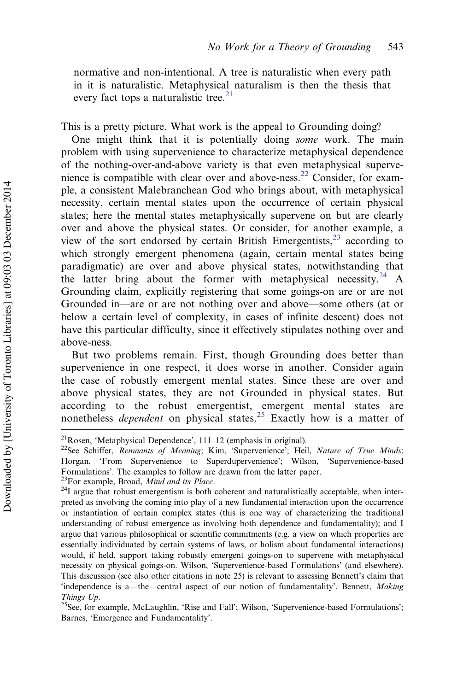normative and non-intentional. A tree is naturalistic when every path in it is naturalistic. Metaphysical naturalism is then the thesis that every fact tops a naturalistic tree.<sup>21</sup>

This is a pretty picture. What work is the appeal to Grounding doing?

One might think that it is potentially doing some work. The main problem with using supervenience to characterize metaphysical dependence of the nothing-over-and-above variety is that even metaphysical supervenience is compatible with clear over and above-ness.<sup>22</sup> Consider, for example, a consistent Malebranchean God who brings about, with metaphysical necessity, certain mental states upon the occurrence of certain physical states; here the mental states metaphysically supervene on but are clearly over and above the physical states. Or consider, for another example, a view of the sort endorsed by certain British Emergentists,<sup>23</sup> according to which strongly emergent phenomena (again, certain mental states being paradigmatic) are over and above physical states, notwithstanding that the latter bring about the former with metaphysical necessity. $24$  A Grounding claim, explicitly registering that some goings-on are or are not Grounded in—are or are not nothing over and above—some others (at or below a certain level of complexity, in cases of infinite descent) does not have this particular difficulty, since it effectively stipulates nothing over and above-ness.

But two problems remain. First, though Grounding does better than supervenience in one respect, it does worse in another. Consider again the case of robustly emergent mental states. Since these are over and above physical states, they are not Grounded in physical states. But according to the robust emergentist, emergent mental states are nonetheless *dependent* on physical states.<sup>25</sup> Exactly how is a matter of

<sup>&</sup>lt;sup>21</sup>Rosen, 'Metaphysical Dependence', 111–12 (emphasis in original). <sup>22</sup>See Schiffer, *Remnants of Meaning*; Kim, 'Supervenience'; Heil, *Nature of True Minds*; Horgan, 'From Supervenience to Superdupervenience'; Wilson, 'Supervenience-based Formulations'. The examples to follow are drawn from the latter paper.<br><sup>23</sup>For example, Broad, *Mind and its Place*.  $24I$  argue that robust emergentism is both coherent and naturalistically acceptable, when inter-

preted as involving the coming into play of a new fundamental interaction upon the occurrence or instantiation of certain complex states (this is one way of characterizing the traditional understanding of robust emergence as involving both dependence and fundamentality); and I argue that various philosophical or scientific commitments (e.g. a view on which properties are essentially individuated by certain systems of laws, or holism about fundamental interactions) would, if held, support taking robustly emergent goings-on to supervene with metaphysical necessity on physical goings-on. Wilson, 'Supervenience-based Formulations' (and elsewhere). This discussion (see also other citations in note 25) is relevant to assessing Bennett's claim that 'independence is a—the—central aspect of our notion of fundamentality'. Bennett, Making

Things Up.<br><sup>25</sup>See, for example, McLaughlin, 'Rise and Fall'; Wilson, 'Supervenience-based Formulations'; Barnes, 'Emergence and Fundamentality'.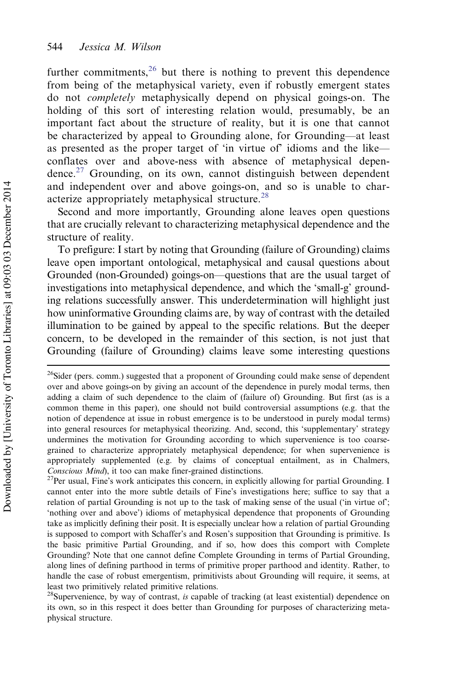further commitments,  $26$  but there is nothing to prevent this dependence from being of the metaphysical variety, even if robustly emergent states do not completely metaphysically depend on physical goings-on. The holding of this sort of interesting relation would, presumably, be an important fact about the structure of reality, but it is one that cannot be characterized by appeal to Grounding alone, for Grounding—at least as presented as the proper target of 'in virtue of' idioms and the like conflates over and above-ness with absence of metaphysical dependence.<sup>27</sup> Grounding, on its own, cannot distinguish between dependent and independent over and above goings-on, and so is unable to characterize appropriately metaphysical structure.<sup>28</sup>

Second and more importantly, Grounding alone leaves open questions that are crucially relevant to characterizing metaphysical dependence and the structure of reality.

To prefigure: I start by noting that Grounding (failure of Grounding) claims leave open important ontological, metaphysical and causal questions about Grounded (non-Grounded) goings-on—questions that are the usual target of investigations into metaphysical dependence, and which the 'small-g' grounding relations successfully answer. This underdetermination will highlight just how uninformative Grounding claims are, by way of contrast with the detailed illumination to be gained by appeal to the specific relations. But the deeper concern, to be developed in the remainder of this section, is not just that Grounding (failure of Grounding) claims leave some interesting questions

<sup>&</sup>lt;sup>26</sup>Sider (pers. comm.) suggested that a proponent of Grounding could make sense of dependent over and above goings-on by giving an account of the dependence in purely modal terms, then adding a claim of such dependence to the claim of (failure of) Grounding. But first (as is a common theme in this paper), one should not build controversial assumptions (e.g. that the notion of dependence at issue in robust emergence is to be understood in purely modal terms) into general resources for metaphysical theorizing. And, second, this 'supplementary' strategy undermines the motivation for Grounding according to which supervenience is too coarsegrained to characterize appropriately metaphysical dependence; for when supervenience is appropriately supplemented (e.g. by claims of conceptual entailment, as in Chalmers, Conscious Mind), it too can make finer-grained distinctions.<br><sup>27</sup>Per usual, Fine's work anticipates this concern, in explicitly allowing for partial Grounding. I

cannot enter into the more subtle details of Fine's investigations here; suffice to say that a relation of partial Grounding is not up to the task of making sense of the usual ('in virtue of'; 'nothing over and above') idioms of metaphysical dependence that proponents of Grounding take as implicitly defining their posit. It is especially unclear how a relation of partial Grounding is supposed to comport with Schaffer's and Rosen's supposition that Grounding is primitive. Is the basic primitive Partial Grounding, and if so, how does this comport with Complete Grounding? Note that one cannot define Complete Grounding in terms of Partial Grounding, along lines of defining parthood in terms of primitive proper parthood and identity. Rather, to handle the case of robust emergentism, primitivists about Grounding will require, it seems, at least two primitively related primitive relations.

 $28$ Supervenience, by way of contrast, is capable of tracking (at least existential) dependence on its own, so in this respect it does better than Grounding for purposes of characterizing metaphysical structure.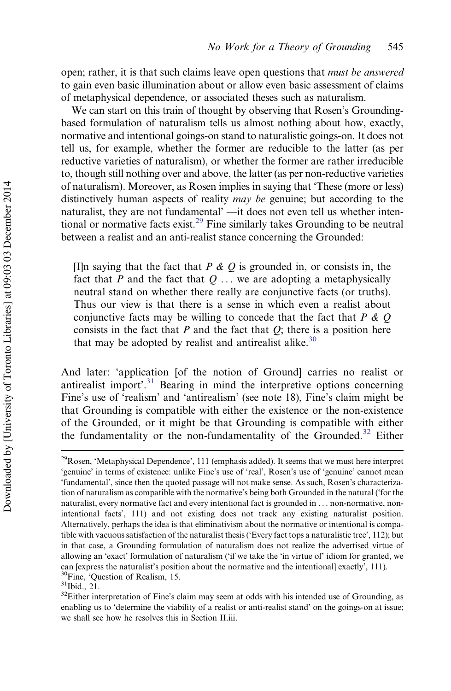open; rather, it is that such claims leave open questions that must be answered to gain even basic illumination about or allow even basic assessment of claims of metaphysical dependence, or associated theses such as naturalism.

We can start on this train of thought by observing that Rosen's Groundingbased formulation of naturalism tells us almost nothing about how, exactly, normative and intentional goings-on stand to naturalistic goings-on. It does not tell us, for example, whether the former are reducible to the latter (as per reductive varieties of naturalism), or whether the former are rather irreducible to, though still nothing over and above, the latter (as per non-reductive varieties of naturalism). Moreover, as Rosen implies in saying that 'These (more or less) distinctively human aspects of reality *may be* genuine; but according to the naturalist, they are not fundamental' —it does not even tell us whether intentional or normative facts exist.<sup>29</sup> Fine similarly takes Grounding to be neutral between a realist and an anti-realist stance concerning the Grounded:

[I]n saying that the fact that  $P \& Q$  is grounded in, or consists in, the fact that P and the fact that  $Q \dots$  we are adopting a metaphysically neutral stand on whether there really are conjunctive facts (or truths). Thus our view is that there is a sense in which even a realist about conjunctive facts may be willing to concede that the fact that  $P \& Q$ consists in the fact that  $P$  and the fact that  $Q$ ; there is a position here that may be adopted by realist and antirealist alike. $30$ 

And later: 'application [of the notion of Ground] carries no realist or antirealist import'.<sup>31</sup> Bearing in mind the interpretive options concerning Fine's use of 'realism' and 'antirealism' (see note 18), Fine's claim might be that Grounding is compatible with either the existence or the non-existence of the Grounded, or it might be that Grounding is compatible with either the fundamentality or the non-fundamentality of the Grounded.<sup>32</sup> Either

<sup>&</sup>lt;sup>29</sup>Rosen, 'Metaphysical Dependence', 111 (emphasis added). It seems that we must here interpret 'genuine' in terms of existence: unlike Fine's use of 'real', Rosen's use of 'genuine' cannot mean 'fundamental', since then the quoted passage will not make sense. As such, Rosen's characterization of naturalism as compatible with the normative's being both Grounded in the natural ('for the naturalist, every normative fact and every intentional fact is grounded in . . . non-normative, nonintentional facts', 111) and not existing does not track any existing naturalist position. Alternatively, perhaps the idea is that eliminativism about the normative or intentional is compatible with vacuous satisfaction of the naturalist thesis ('Every fact tops a naturalistic tree', 112); but in that case, a Grounding formulation of naturalism does not realize the advertised virtue of allowing an 'exact' formulation of naturalism ('if we take the 'in virtue of' idiom for granted, we can [express the naturalist's position about the normative and the intentional] exactly', 111).<br><sup>30</sup>Fine, 'Question of Realism, 15.<br><sup>31</sup>Ibid., 21.<br><sup>32</sup>Either interpretation of Fine's claim may seem at odds with his intend

enabling us to 'determine the viability of a realist or anti-realist stand' on the goings-on at issue; we shall see how he resolves this in Section II.iii.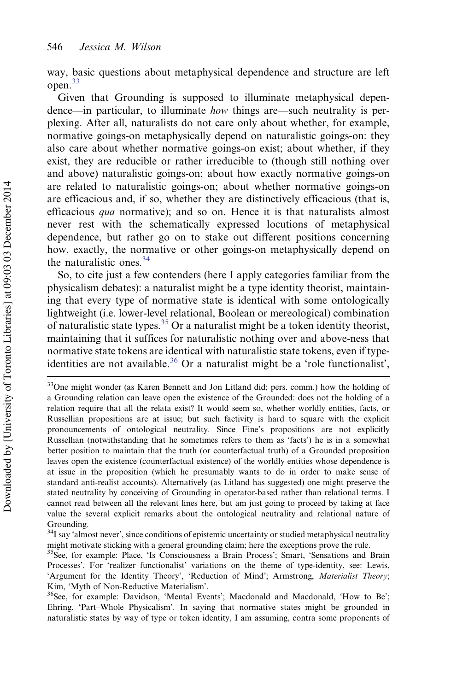way, basic questions about metaphysical dependence and structure are left open.<sup>33</sup>

Given that Grounding is supposed to illuminate metaphysical dependence—in particular, to illuminate how things are—such neutrality is perplexing. After all, naturalists do not care only about whether, for example, normative goings-on metaphysically depend on naturalistic goings-on: they also care about whether normative goings-on exist; about whether, if they exist, they are reducible or rather irreducible to (though still nothing over and above) naturalistic goings-on; about how exactly normative goings-on are related to naturalistic goings-on; about whether normative goings-on are efficacious and, if so, whether they are distinctively efficacious (that is, efficacious *qua* normative); and so on. Hence it is that naturalists almost never rest with the schematically expressed locutions of metaphysical dependence, but rather go on to stake out different positions concerning how, exactly, the normative or other goings-on metaphysically depend on the naturalistic ones.  $34$ 

So, to cite just a few contenders (here I apply categories familiar from the physicalism debates): a naturalist might be a type identity theorist, maintaining that every type of normative state is identical with some ontologically lightweight (i.e. lower-level relational, Boolean or mereological) combination of naturalistic state types.<sup>35</sup> Or a naturalist might be a token identity theorist, maintaining that it suffices for naturalistic nothing over and above-ness that normative state tokens are identical with naturalistic state tokens, even if typeidentities are not available.<sup>36</sup> Or a naturalist might be a 'role functionalist',

<sup>&</sup>lt;sup>33</sup>One might wonder (as Karen Bennett and Jon Litland did; pers. comm.) how the holding of a Grounding relation can leave open the existence of the Grounded: does not the holding of a relation require that all the relata exist? It would seem so, whether worldly entities, facts, or Russellian propositions are at issue; but such factivity is hard to square with the explicit pronouncements of ontological neutrality. Since Fine's propositions are not explicitly Russellian (notwithstanding that he sometimes refers to them as 'facts') he is in a somewhat better position to maintain that the truth (or counterfactual truth) of a Grounded proposition leaves open the existence (counterfactual existence) of the worldly entities whose dependence is at issue in the proposition (which he presumably wants to do in order to make sense of standard anti-realist accounts). Alternatively (as Litland has suggested) one might preserve the stated neutrality by conceiving of Grounding in operator-based rather than relational terms. I cannot read between all the relevant lines here, but am just going to proceed by taking at face value the several explicit remarks about the ontological neutrality and relational nature of Grounding.

<sup>&</sup>lt;sup>34</sup>I say 'almost never', since conditions of epistemic uncertainty or studied metaphysical neutrality might motivate sticking with a general grounding claim; here the exceptions prove the rule.

<sup>&</sup>lt;sup>35</sup>See, for example: Place, 'Is Consciousness a Brain Process'; Smart, 'Sensations and Brain Processes'. For 'realizer functionalist' variations on the theme of type-identity, see: Lewis, 'Argument for the Identity Theory', 'Reduction of Mind'; Armstrong, Materialist Theory; Kim, 'Myth of Non-Reductive Materialism'.<br><sup>36</sup>See, for example: Davidson, 'Mental Events'; Macdonald and Macdonald, 'How to Be';

Ehring, 'Part–Whole Physicalism'. In saying that normative states might be grounded in naturalistic states by way of type or token identity, I am assuming, contra some proponents of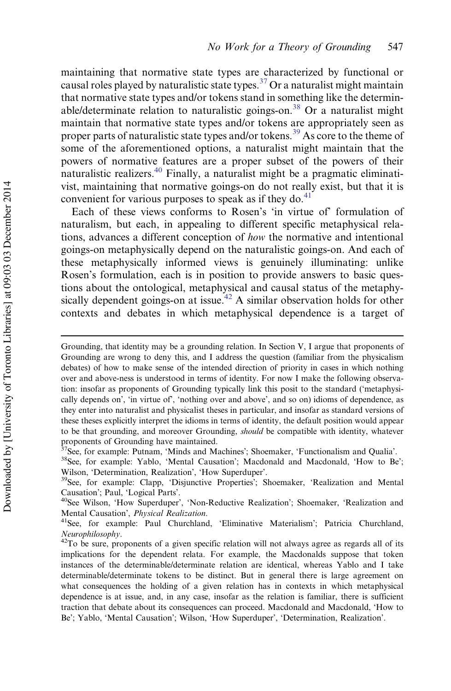<span id="page-14-0"></span>maintaining that normative state types are characterized by functional or causal roles played by naturalistic state types.<sup>37</sup> Or a naturalist might maintain that normative state types and/or tokens stand in something like the determinable/determinate relation to naturalistic goings-on.<sup>38</sup> Or a naturalist might maintain that normative state types and/or tokens are appropriately seen as proper parts of naturalistic state types and/or tokens.<sup>39</sup> As core to the theme of some of the aforementioned options, a naturalist might maintain that the powers of normative features are a proper subset of the powers of their naturalistic realizers.<sup>40</sup> Finally, a naturalist might be a pragmatic eliminativist, maintaining that normative goings-on do not really exist, but that it is convenient for various purposes to speak as if they do. $41$ 

Each of these views conforms to Rosen's 'in virtue of' formulation of naturalism, but each, in appealing to different specific metaphysical relations, advances a different conception of how the normative and intentional goings-on metaphysically depend on the naturalistic goings-on. And each of these metaphysically informed views is genuinely illuminating: unlike Rosen's formulation, each is in position to provide answers to basic questions about the ontological, metaphysical and causal status of the metaphysically dependent goings-on at issue.<sup>42</sup> A similar observation holds for other contexts and debates in which metaphysical dependence is a target of

proponents of Grounding have maintained.<br><sup>37</sup>See, for example: Putnam, 'Minds and Machines'; Shoemaker, 'Functionalism and Qualia'.<br><sup>38</sup>See, for example: Yablo, 'Mental Causation'; Macdonald and Macdonald, 'How to Be';

Grounding, that identity may be a grounding relation. In Section V, I argue that proponents of Grounding are wrong to deny this, and I address the question (familiar from the physicalism debates) of how to make sense of the intended direction of priority in cases in which nothing over and above-ness is understood in terms of identity. For now I make the following observation: insofar as proponents of Grounding typically link this posit to the standard ('metaphysically depends on', 'in virtue of', 'nothing over and above', and so on) idioms of dependence, as they enter into naturalist and physicalist theses in particular, and insofar as standard versions of these theses explicitly interpret the idioms in terms of identity, the default position would appear to be that grounding, and moreover Grounding, *should* be compatible with identity, whatever

Wilson, 'Determination, Realization', 'How Superduper'.<br><sup>39</sup>See, for example: Clapp, 'Disjunctive Properties'; Shoemaker, 'Realization and Mental

Causation'; Paul, 'Logical Parts'.<br><sup>40</sup>See Wilson, 'How Superduper', 'Non-Reductive Realization'; Shoemaker, 'Realization and

Mental Causation', *Physical Realization*.<br><sup>41</sup>See, for example: Paul Churchland, 'Eliminative Materialism'; Patricia Churchland,

Neurophilosophy.<br> $^{42}$ To be sure, proponents of a given specific relation will not always agree as regards all of its

implications for the dependent relata. For example, the Macdonalds suppose that token instances of the determinable/determinate relation are identical, whereas Yablo and I take determinable/determinate tokens to be distinct. But in general there is large agreement on what consequences the holding of a given relation has in contexts in which metaphysical dependence is at issue, and, in any case, insofar as the relation is familiar, there is sufficient traction that debate about its consequences can proceed. Macdonald and Macdonald, 'How to Be'; Yablo, 'Mental Causation'; Wilson, 'How Superduper', 'Determination, Realization'.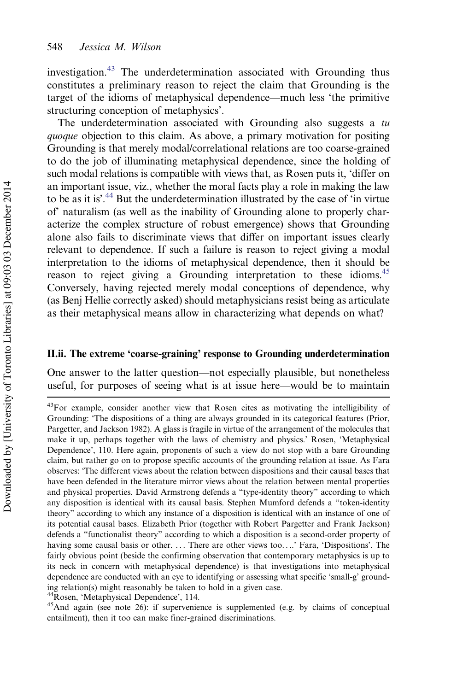investigation.[43](#page-14-0) The underdetermination associated with Grounding thus constitutes a preliminary reason to reject the claim that Grounding is the target of the idioms of metaphysical dependence—much less 'the primitive structuring conception of metaphysics'.

The underdetermination associated with Grounding also suggests a tu quoque objection to this claim. As above, a primary motivation for positing Grounding is that merely modal/correlational relations are too coarse-grained to do the job of illuminating metaphysical dependence, since the holding of such modal relations is compatible with views that, as Rosen puts it, 'differ on an important issue, viz., whether the moral facts play a role in making the law to be as it is'. <sup>44</sup> But the underdetermination illustrated by the case of 'in virtue of' naturalism (as well as the inability of Grounding alone to properly characterize the complex structure of robust emergence) shows that Grounding alone also fails to discriminate views that differ on important issues clearly relevant to dependence. If such a failure is reason to reject giving a modal interpretation to the idioms of metaphysical dependence, then it should be reason to reject giving a Grounding interpretation to these idioms.<sup>45</sup> Conversely, having rejected merely modal conceptions of dependence, why (as Benj Hellie correctly asked) should metaphysicians resist being as articulate as their metaphysical means allow in characterizing what depends on what?

#### II.ii. The extreme 'coarse-graining' response to Grounding underdetermination

One answer to the latter question—not especially plausible, but nonetheless useful, for purposes of seeing what is at issue here—would be to maintain

<sup>&</sup>lt;sup>43</sup>For example, consider another view that Rosen cites as motivating the intelligibility of Grounding: 'The dispositions of a thing are always grounded in its categorical features (Prior, Pargetter, and Jackson 1982). A glass is fragile in virtue of the arrangement of the molecules that make it up, perhaps together with the laws of chemistry and physics.' Rosen, 'Metaphysical Dependence', 110. Here again, proponents of such a view do not stop with a bare Grounding claim, but rather go on to propose specific accounts of the grounding relation at issue. As Fara observes: 'The different views about the relation between dispositions and their causal bases that have been defended in the literature mirror views about the relation between mental properties and physical properties. David Armstrong defends a "type-identity theory" according to which any disposition is identical with its causal basis. Stephen Mumford defends a "token-identity theory" according to which any instance of a disposition is identical with an instance of one of its potential causal bases. Elizabeth Prior (together with Robert Pargetter and Frank Jackson) defends a "functionalist theory" according to which a disposition is a second-order property of having some causal basis or other. ... There are other views too....' Fara, 'Dispositions'. The fairly obvious point (beside the confirming observation that contemporary metaphysics is up to its neck in concern with metaphysical dependence) is that investigations into metaphysical dependence are conducted with an eye to identifying or assessing what specific 'small-g' grounding relation(s) might reasonably be taken to hold in a given case.<br><sup>44</sup>Rosen, 'Metaphysical Dependence', 114.

 $45$ And again (see note 26): if supervenience is supplemented (e.g. by claims of conceptual entailment), then it too can make finer-grained discriminations.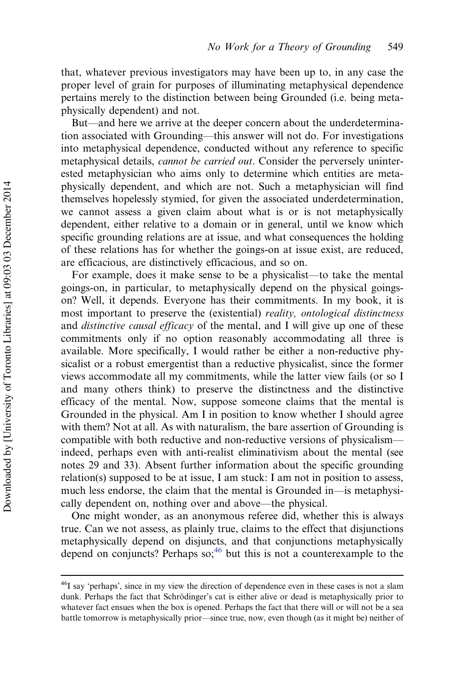that, whatever previous investigators may have been up to, in any case the proper level of grain for purposes of illuminating metaphysical dependence pertains merely to the distinction between being Grounded (i.e. being metaphysically dependent) and not.

But—and here we arrive at the deeper concern about the underdetermination associated with Grounding—this answer will not do. For investigations into metaphysical dependence, conducted without any reference to specific metaphysical details, cannot be carried out. Consider the perversely uninterested metaphysician who aims only to determine which entities are metaphysically dependent, and which are not. Such a metaphysician will find themselves hopelessly stymied, for given the associated underdetermination, we cannot assess a given claim about what is or is not metaphysically dependent, either relative to a domain or in general, until we know which specific grounding relations are at issue, and what consequences the holding of these relations has for whether the goings-on at issue exist, are reduced, are efficacious, are distinctively efficacious, and so on.

For example, does it make sense to be a physicalist—to take the mental goings-on, in particular, to metaphysically depend on the physical goingson? Well, it depends. Everyone has their commitments. In my book, it is most important to preserve the (existential) *reality*, *ontological distinctness* and *distinctive causal efficacy* of the mental, and I will give up one of these commitments only if no option reasonably accommodating all three is available. More specifically, I would rather be either a non-reductive physicalist or a robust emergentist than a reductive physicalist, since the former views accommodate all my commitments, while the latter view fails (or so I and many others think) to preserve the distinctness and the distinctive efficacy of the mental. Now, suppose someone claims that the mental is Grounded in the physical. Am I in position to know whether I should agree with them? Not at all. As with naturalism, the bare assertion of Grounding is compatible with both reductive and non-reductive versions of physicalism indeed, perhaps even with anti-realist eliminativism about the mental (see notes 29 and 33). Absent further information about the specific grounding relation(s) supposed to be at issue, I am stuck: I am not in position to assess, much less endorse, the claim that the mental is Grounded in—is metaphysically dependent on, nothing over and above—the physical.

One might wonder, as an anonymous referee did, whether this is always true. Can we not assess, as plainly true, claims to the effect that disjunctions metaphysically depend on disjuncts, and that conjunctions metaphysically depend on conjuncts? Perhaps so;  $46$  but this is not a counterexample to the

<sup>&</sup>lt;sup>46</sup>I say 'perhaps', since in my view the direction of dependence even in these cases is not a slam dunk. Perhaps the fact that Schrödinger's cat is either alive or dead is metaphysically prior to whatever fact ensues when the box is opened. Perhaps the fact that there will or will not be a sea battle tomorrow is metaphysically prior—since true, now, even though (as it might be) neither of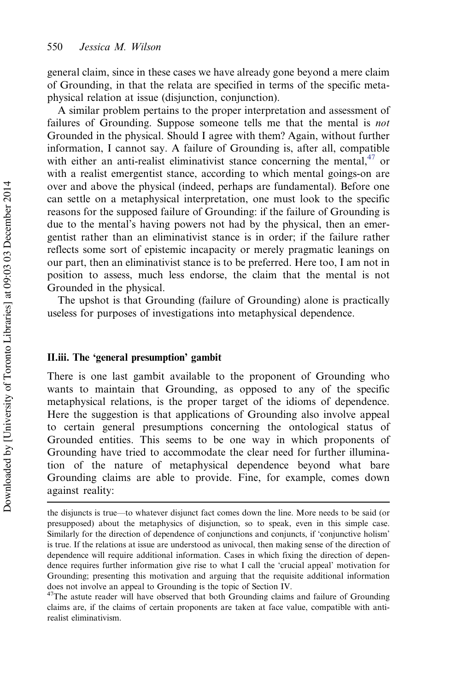general claim, since in these cases we have already gone beyond a mere claim of Grounding, in that the relata are specified in terms of the specific metaphysical relation at issue (disjunction, conjunction).

A similar problem pertains to the proper interpretation and assessment of failures of Grounding. Suppose someone tells me that the mental is not Grounded in the physical. Should I agree with them? Again, without further information, I cannot say. A failure of Grounding is, after all, compatible with either an anti-realist eliminativist stance concerning the mental, $47$  or with a realist emergentist stance, according to which mental goings-on are over and above the physical (indeed, perhaps are fundamental). Before one can settle on a metaphysical interpretation, one must look to the specific reasons for the supposed failure of Grounding: if the failure of Grounding is due to the mental's having powers not had by the physical, then an emergentist rather than an eliminativist stance is in order; if the failure rather reflects some sort of epistemic incapacity or merely pragmatic leanings on our part, then an eliminativist stance is to be preferred. Here too, I am not in position to assess, much less endorse, the claim that the mental is not Grounded in the physical.

The upshot is that Grounding (failure of Grounding) alone is practically useless for purposes of investigations into metaphysical dependence.

#### II.iii. The 'general presumption' gambit

There is one last gambit available to the proponent of Grounding who wants to maintain that Grounding, as opposed to any of the specific metaphysical relations, is the proper target of the idioms of dependence. Here the suggestion is that applications of Grounding also involve appeal to certain general presumptions concerning the ontological status of Grounded entities. This seems to be one way in which proponents of Grounding have tried to accommodate the clear need for further illumination of the nature of metaphysical dependence beyond what bare Grounding claims are able to provide. Fine, for example, comes down against reality:

the disjuncts is true—to whatever disjunct fact comes down the line. More needs to be said (or presupposed) about the metaphysics of disjunction, so to speak, even in this simple case. Similarly for the direction of dependence of conjunctions and conjuncts, if 'conjunctive holism' is true. If the relations at issue are understood as univocal, then making sense of the direction of dependence will require additional information. Cases in which fixing the direction of dependence requires further information give rise to what I call the 'crucial appeal' motivation for Grounding; presenting this motivation and arguing that the requisite additional information does not involve an appeal to Grounding is the topic of Section IV.

<sup>&</sup>lt;sup>47</sup>The astute reader will have observed that both Grounding claims and failure of Grounding claims are, if the claims of certain proponents are taken at face value, compatible with antirealist eliminativism.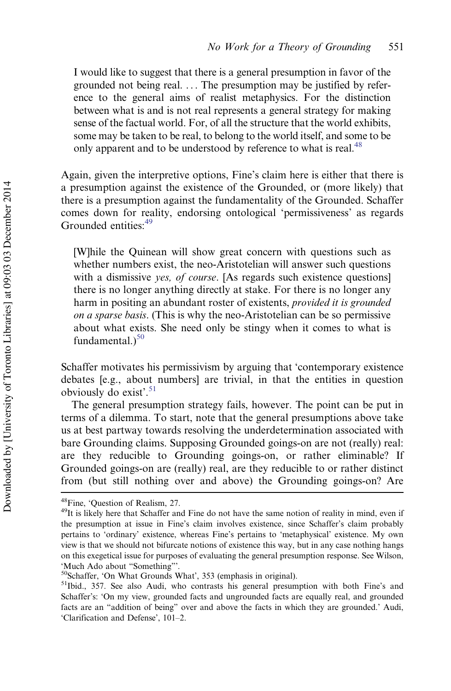I would like to suggest that there is a general presumption in favor of the grounded not being real. ... The presumption may be justified by reference to the general aims of realist metaphysics. For the distinction between what is and is not real represents a general strategy for making sense of the factual world. For, of all the structure that the world exhibits, some may be taken to be real, to belong to the world itself, and some to be only apparent and to be understood by reference to what is real.<sup>48</sup>

Again, given the interpretive options, Fine's claim here is either that there is a presumption against the existence of the Grounded, or (more likely) that there is a presumption against the fundamentality of the Grounded. Schaffer comes down for reality, endorsing ontological 'permissiveness' as regards Grounded entities:<sup>49</sup>

[W]hile the Quinean will show great concern with questions such as whether numbers exist, the neo-Aristotelian will answer such questions with a dismissive *yes, of course*. [As regards such existence questions] there is no longer anything directly at stake. For there is no longer any harm in positing an abundant roster of existents, provided it is grounded on a sparse basis. (This is why the neo-Aristotelian can be so permissive about what exists. She need only be stingy when it comes to what is fundamental.) $50$ 

Schaffer motivates his permissivism by arguing that 'contemporary existence debates [e.g., about numbers] are trivial, in that the entities in question obviously do exist'. 51

The general presumption strategy fails, however. The point can be put in terms of a dilemma. To start, note that the general presumptions above take us at best partway towards resolving the underdetermination associated with bare Grounding claims. Supposing Grounded goings-on are not (really) real: are they reducible to Grounding goings-on, or rather eliminable? If Grounded goings-on are (really) real, are they reducible to or rather distinct from (but still nothing over and above) the Grounding goings-on? Are

<sup>&</sup>lt;sup>48</sup>Fine, 'Question of Realism, 27.<br><sup>49</sup>It is likely here that Schaffer and Fine do not have the same notion of reality in mind, even if the presumption at issue in Fine's claim involves existence, since Schaffer's claim probably pertains to 'ordinary' existence, whereas Fine's pertains to 'metaphysical' existence. My own view is that we should not bifurcate notions of existence this way, but in any case nothing hangs on this exegetical issue for purposes of evaluating the general presumption response. See Wilson,

<sup>&</sup>lt;sup>50</sup>Schaffer, 'On What Grounds What', 353 (emphasis in original).  $51\text{Ibid.}, 357.$  See also Audi, who contrasts his general presumption with both Fine's and Schaffer's: 'On my view, grounded facts and ungrounded facts are equally real, and grounded facts are an "addition of being" over and above the facts in which they are grounded.' Audi, 'Clarification and Defense', 101–2.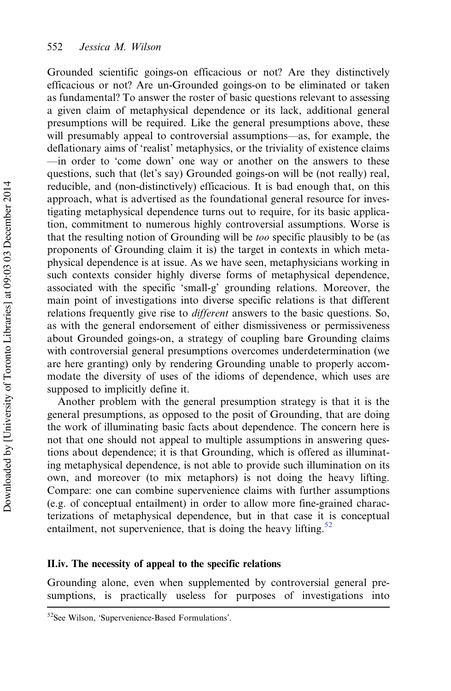Grounded scientific goings-on efficacious or not? Are they distinctively efficacious or not? Are un-Grounded goings-on to be eliminated or taken as fundamental? To answer the roster of basic questions relevant to assessing a given claim of metaphysical dependence or its lack, additional general presumptions will be required. Like the general presumptions above, these will presumably appeal to controversial assumptions—as, for example, the deflationary aims of 'realist' metaphysics, or the triviality of existence claims —in order to 'come down' one way or another on the answers to these questions, such that (let's say) Grounded goings-on will be (not really) real, reducible, and (non-distinctively) efficacious. It is bad enough that, on this approach, what is advertised as the foundational general resource for investigating metaphysical dependence turns out to require, for its basic application, commitment to numerous highly controversial assumptions. Worse is that the resulting notion of Grounding will be too specific plausibly to be (as proponents of Grounding claim it is) the target in contexts in which metaphysical dependence is at issue. As we have seen, metaphysicians working in such contexts consider highly diverse forms of metaphysical dependence, associated with the specific 'small-g' grounding relations. Moreover, the main point of investigations into diverse specific relations is that different relations frequently give rise to different answers to the basic questions. So, as with the general endorsement of either dismissiveness or permissiveness about Grounded goings-on, a strategy of coupling bare Grounding claims with controversial general presumptions overcomes underdetermination (we are here granting) only by rendering Grounding unable to properly accommodate the diversity of uses of the idioms of dependence, which uses are supposed to implicitly define it.

Another problem with the general presumption strategy is that it is the general presumptions, as opposed to the posit of Grounding, that are doing the work of illuminating basic facts about dependence. The concern here is not that one should not appeal to multiple assumptions in answering questions about dependence; it is that Grounding, which is offered as illuminating metaphysical dependence, is not able to provide such illumination on its own, and moreover (to mix metaphors) is not doing the heavy lifting. Compare: one can combine supervenience claims with further assumptions (e.g. of conceptual entailment) in order to allow more fine-grained characterizations of metaphysical dependence, but in that case it is conceptual entailment, not supervenience, that is doing the heavy lifting.<sup>52</sup>

#### II.iv. The necessity of appeal to the specific relations

Grounding alone, even when supplemented by controversial general presumptions, is practically useless for purposes of investigations into

<sup>52</sup>See Wilson, 'Supervenience-Based Formulations'.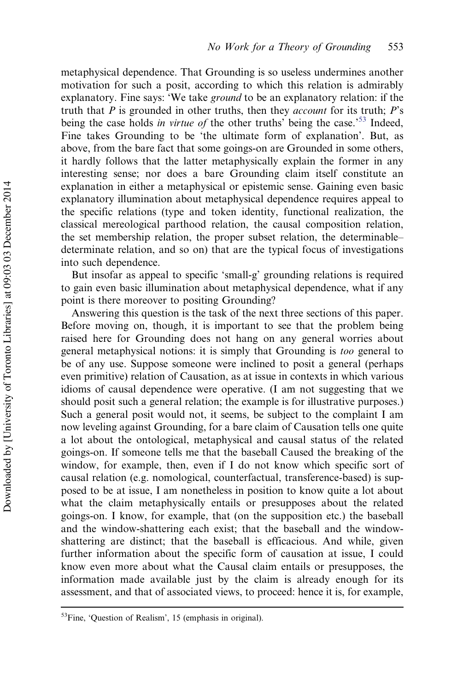metaphysical dependence. That Grounding is so useless undermines another motivation for such a posit, according to which this relation is admirably explanatory. Fine says: 'We take ground to be an explanatory relation: if the truth that  $P$  is grounded in other truths, then they *account* for its truth;  $P$ 's being the case holds in virtue of the other truths' being the case.'<sup>53</sup> Indeed, Fine takes Grounding to be 'the ultimate form of explanation'. But, as above, from the bare fact that some goings-on are Grounded in some others, it hardly follows that the latter metaphysically explain the former in any interesting sense; nor does a bare Grounding claim itself constitute an explanation in either a metaphysical or epistemic sense. Gaining even basic explanatory illumination about metaphysical dependence requires appeal to the specific relations (type and token identity, functional realization, the classical mereological parthood relation, the causal composition relation, the set membership relation, the proper subset relation, the determinable– determinate relation, and so on) that are the typical focus of investigations into such dependence.

But insofar as appeal to specific 'small-g' grounding relations is required to gain even basic illumination about metaphysical dependence, what if any point is there moreover to positing Grounding?

Answering this question is the task of the next three sections of this paper. Before moving on, though, it is important to see that the problem being raised here for Grounding does not hang on any general worries about general metaphysical notions: it is simply that Grounding is too general to be of any use. Suppose someone were inclined to posit a general (perhaps even primitive) relation of Causation, as at issue in contexts in which various idioms of causal dependence were operative. (I am not suggesting that we should posit such a general relation; the example is for illustrative purposes.) Such a general posit would not, it seems, be subject to the complaint I am now leveling against Grounding, for a bare claim of Causation tells one quite a lot about the ontological, metaphysical and causal status of the related goings-on. If someone tells me that the baseball Caused the breaking of the window, for example, then, even if I do not know which specific sort of causal relation (e.g. nomological, counterfactual, transference-based) is supposed to be at issue, I am nonetheless in position to know quite a lot about what the claim metaphysically entails or presupposes about the related goings-on. I know, for example, that (on the supposition etc.) the baseball and the window-shattering each exist; that the baseball and the windowshattering are distinct; that the baseball is efficacious. And while, given further information about the specific form of causation at issue, I could know even more about what the Causal claim entails or presupposes, the information made available just by the claim is already enough for its assessment, and that of associated views, to proceed: hence it is, for example,

<sup>53</sup>Fine, 'Question of Realism', 15 (emphasis in original).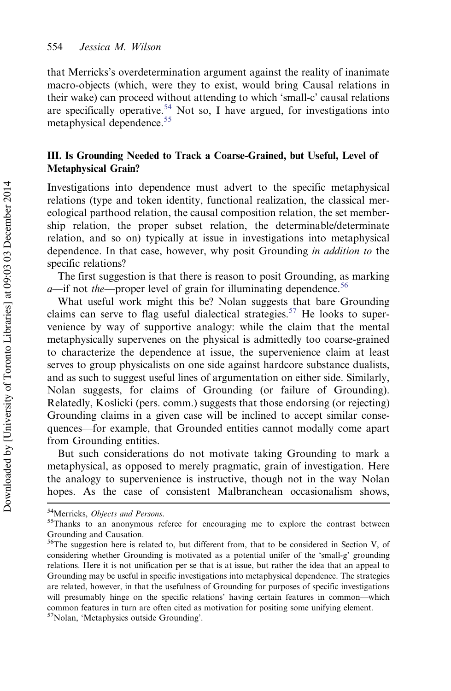that Merricks's overdetermination argument against the reality of inanimate macro-objects (which, were they to exist, would bring Causal relations in their wake) can proceed without attending to which 'small-c' causal relations are specifically operative.<sup>54</sup> Not so, I have argued, for investigations into metaphysical dependence.<sup>55</sup>

## III. Is Grounding Needed to Track a Coarse-Grained, but Useful, Level of Metaphysical Grain?

Investigations into dependence must advert to the specific metaphysical relations (type and token identity, functional realization, the classical mereological parthood relation, the causal composition relation, the set membership relation, the proper subset relation, the determinable/determinate relation, and so on) typically at issue in investigations into metaphysical dependence. In that case, however, why posit Grounding in addition to the specific relations?

The first suggestion is that there is reason to posit Grounding, as marking  $a$ —if not the—proper level of grain for illuminating dependence.<sup>56</sup>

What useful work might this be? Nolan suggests that bare Grounding claims can serve to flag useful dialectical strategies.<sup>57</sup> He looks to supervenience by way of supportive analogy: while the claim that the mental metaphysically supervenes on the physical is admittedly too coarse-grained to characterize the dependence at issue, the supervenience claim at least serves to group physicalists on one side against hardcore substance dualists, and as such to suggest useful lines of argumentation on either side. Similarly, Nolan suggests, for claims of Grounding (or failure of Grounding). Relatedly, Koslicki (pers. comm.) suggests that those endorsing (or rejecting) Grounding claims in a given case will be inclined to accept similar consequences—for example, that Grounded entities cannot modally come apart from Grounding entities.

But such considerations do not motivate taking Grounding to mark a metaphysical, as opposed to merely pragmatic, grain of investigation. Here the analogy to supervenience is instructive, though not in the way Nolan hopes. As the case of consistent Malbranchean occasionalism shows,

 $54$ Merricks, *Objects and Persons*.<br> $55$ Thanks to an anonymous referee for encouraging me to explore the contrast between Grounding and Causation.

<sup>&</sup>lt;sup>56</sup>The suggestion here is related to, but different from, that to be considered in Section V, of considering whether Grounding is motivated as a potential unifer of the 'small-g' grounding relations. Here it is not unification per se that is at issue, but rather the idea that an appeal to Grounding may be useful in specific investigations into metaphysical dependence. The strategies are related, however, in that the usefulness of Grounding for purposes of specific investigations will presumably hinge on the specific relations' having certain features in common—which common features in turn are often cited as motivation for positing some unifying element. 57Nolan, 'Metaphysics outside Grounding'.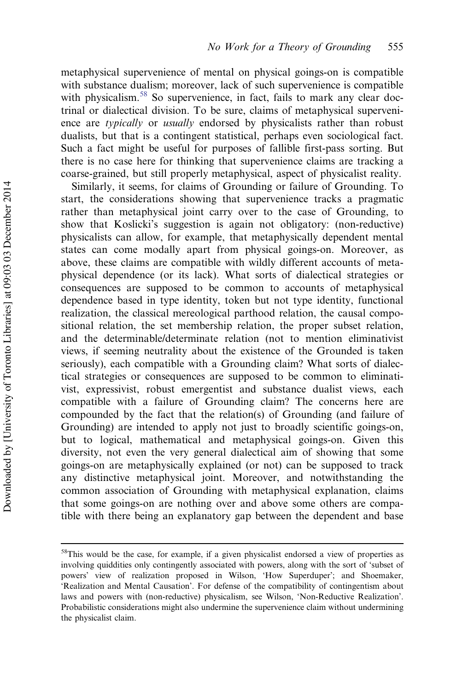metaphysical supervenience of mental on physical goings-on is compatible with substance dualism; moreover, lack of such supervenience is compatible with physicalism.<sup>58</sup> So supervenience, in fact, fails to mark any clear doctrinal or dialectical division. To be sure, claims of metaphysical supervenience are *typically* or *usually* endorsed by physicalists rather than robust dualists, but that is a contingent statistical, perhaps even sociological fact. Such a fact might be useful for purposes of fallible first-pass sorting. But there is no case here for thinking that supervenience claims are tracking a coarse-grained, but still properly metaphysical, aspect of physicalist reality.

Similarly, it seems, for claims of Grounding or failure of Grounding. To start, the considerations showing that supervenience tracks a pragmatic rather than metaphysical joint carry over to the case of Grounding, to show that Koslicki's suggestion is again not obligatory: (non-reductive) physicalists can allow, for example, that metaphysically dependent mental states can come modally apart from physical goings-on. Moreover, as above, these claims are compatible with wildly different accounts of metaphysical dependence (or its lack). What sorts of dialectical strategies or consequences are supposed to be common to accounts of metaphysical dependence based in type identity, token but not type identity, functional realization, the classical mereological parthood relation, the causal compositional relation, the set membership relation, the proper subset relation, and the determinable/determinate relation (not to mention eliminativist views, if seeming neutrality about the existence of the Grounded is taken seriously), each compatible with a Grounding claim? What sorts of dialectical strategies or consequences are supposed to be common to eliminativist, expressivist, robust emergentist and substance dualist views, each compatible with a failure of Grounding claim? The concerns here are compounded by the fact that the relation(s) of Grounding (and failure of Grounding) are intended to apply not just to broadly scientific goings-on, but to logical, mathematical and metaphysical goings-on. Given this diversity, not even the very general dialectical aim of showing that some goings-on are metaphysically explained (or not) can be supposed to track any distinctive metaphysical joint. Moreover, and notwithstanding the common association of Grounding with metaphysical explanation, claims that some goings-on are nothing over and above some others are compatible with there being an explanatory gap between the dependent and base

<sup>&</sup>lt;sup>58</sup>This would be the case, for example, if a given physicalist endorsed a view of properties as involving quiddities only contingently associated with powers, along with the sort of 'subset of powers' view of realization proposed in Wilson, 'How Superduper'; and Shoemaker, 'Realization and Mental Causation'. For defense of the compatibility of contingentism about laws and powers with (non-reductive) physicalism, see Wilson, 'Non-Reductive Realization'. Probabilistic considerations might also undermine the supervenience claim without undermining the physicalist claim.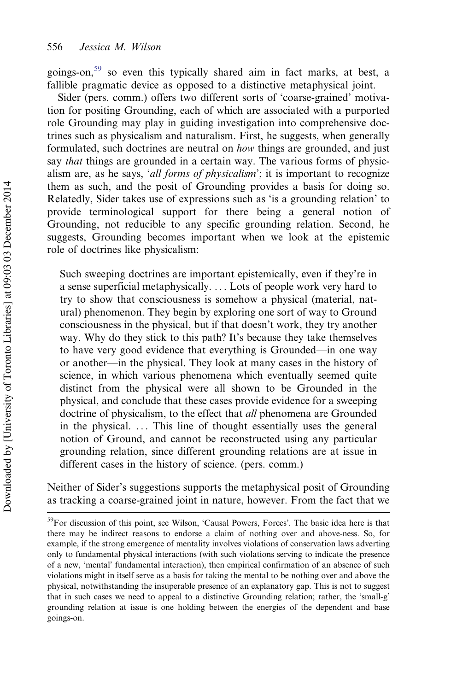goings-on,<sup>59</sup> so even this typically shared aim in fact marks, at best, a fallible pragmatic device as opposed to a distinctive metaphysical joint.

Sider (pers. comm.) offers two different sorts of 'coarse-grained' motivation for positing Grounding, each of which are associated with a purported role Grounding may play in guiding investigation into comprehensive doctrines such as physicalism and naturalism. First, he suggests, when generally formulated, such doctrines are neutral on how things are grounded, and just say *that* things are grounded in a certain way. The various forms of physicalism are, as he says, 'all forms of physicalism'; it is important to recognize them as such, and the posit of Grounding provides a basis for doing so. Relatedly, Sider takes use of expressions such as 'is a grounding relation' to provide terminological support for there being a general notion of Grounding, not reducible to any specific grounding relation. Second, he suggests, Grounding becomes important when we look at the epistemic role of doctrines like physicalism:

Such sweeping doctrines are important epistemically, even if they're in a sense superficial metaphysically. . . . Lots of people work very hard to try to show that consciousness is somehow a physical (material, natural) phenomenon. They begin by exploring one sort of way to Ground consciousness in the physical, but if that doesn't work, they try another way. Why do they stick to this path? It's because they take themselves to have very good evidence that everything is Grounded—in one way or another—in the physical. They look at many cases in the history of science, in which various phenomena which eventually seemed quite distinct from the physical were all shown to be Grounded in the physical, and conclude that these cases provide evidence for a sweeping doctrine of physicalism, to the effect that all phenomena are Grounded in the physical. ... This line of thought essentially uses the general notion of Ground, and cannot be reconstructed using any particular grounding relation, since different grounding relations are at issue in different cases in the history of science. (pers. comm.)

Neither of Sider's suggestions supports the metaphysical posit of Grounding as tracking a coarse-grained joint in nature, however. From the fact that we

<sup>&</sup>lt;sup>59</sup>For discussion of this point, see Wilson, 'Causal Powers, Forces'. The basic idea here is that there may be indirect reasons to endorse a claim of nothing over and above-ness. So, for example, if the strong emergence of mentality involves violations of conservation laws adverting only to fundamental physical interactions (with such violations serving to indicate the presence of a new, 'mental' fundamental interaction), then empirical confirmation of an absence of such violations might in itself serve as a basis for taking the mental to be nothing over and above the physical, notwithstanding the insuperable presence of an explanatory gap. This is not to suggest that in such cases we need to appeal to a distinctive Grounding relation; rather, the 'small-g' grounding relation at issue is one holding between the energies of the dependent and base goings-on.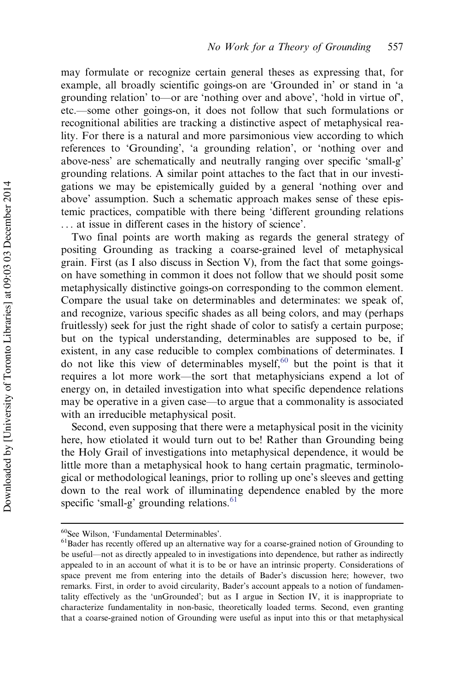may formulate or recognize certain general theses as expressing that, for example, all broadly scientific goings-on are 'Grounded in' or stand in 'a grounding relation' to—or are 'nothing over and above', 'hold in virtue of', etc.—some other goings-on, it does not follow that such formulations or recognitional abilities are tracking a distinctive aspect of metaphysical reality. For there is a natural and more parsimonious view according to which references to 'Grounding', 'a grounding relation', or 'nothing over and above-ness' are schematically and neutrally ranging over specific 'small-g' grounding relations. A similar point attaches to the fact that in our investigations we may be epistemically guided by a general 'nothing over and above' assumption. Such a schematic approach makes sense of these epistemic practices, compatible with there being 'different grounding relations . . . at issue in different cases in the history of science'.

Two final points are worth making as regards the general strategy of positing Grounding as tracking a coarse-grained level of metaphysical grain. First (as I also discuss in Section V), from the fact that some goingson have something in common it does not follow that we should posit some metaphysically distinctive goings-on corresponding to the common element. Compare the usual take on determinables and determinates: we speak of, and recognize, various specific shades as all being colors, and may (perhaps fruitlessly) seek for just the right shade of color to satisfy a certain purpose; but on the typical understanding, determinables are supposed to be, if existent, in any case reducible to complex combinations of determinates. I do not like this view of determinables myself,<sup>60</sup> but the point is that it requires a lot more work—the sort that metaphysicians expend a lot of energy on, in detailed investigation into what specific dependence relations may be operative in a given case—to argue that a commonality is associated with an irreducible metaphysical posit.

Second, even supposing that there were a metaphysical posit in the vicinity here, how etiolated it would turn out to be! Rather than Grounding being the Holy Grail of investigations into metaphysical dependence, it would be little more than a metaphysical hook to hang certain pragmatic, terminological or methodological leanings, prior to rolling up one's sleeves and getting down to the real work of illuminating dependence enabled by the more specific 'small-g' grounding relations. $61$ 

<sup>&</sup>lt;sup>60</sup>See Wilson, 'Fundamental Determinables'.<br><sup>61</sup>Bader has recently offered up an alternative way for a coarse-grained notion of Grounding to be useful—not as directly appealed to in investigations into dependence, but rather as indirectly appealed to in an account of what it is to be or have an intrinsic property. Considerations of space prevent me from entering into the details of Bader's discussion here; however, two remarks. First, in order to avoid circularity, Bader's account appeals to a notion of fundamentality effectively as the 'unGrounded'; but as I argue in Section IV, it is inappropriate to characterize fundamentality in non-basic, theoretically loaded terms. Second, even granting that a coarse-grained notion of Grounding were useful as input into this or that metaphysical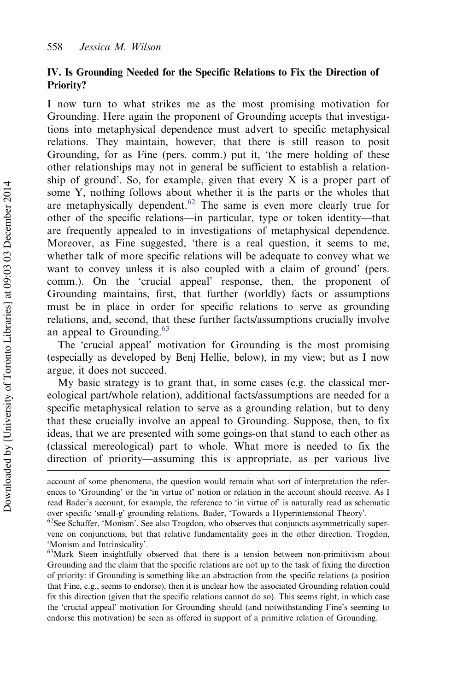## IV. Is Grounding Needed for the Specific Relations to Fix the Direction of Priority?

I now turn to what strikes me as the most promising motivation for Grounding. Here again the proponent of Grounding accepts that investigations into metaphysical dependence must advert to specific metaphysical relations. They maintain, however, that there is still reason to posit Grounding, for as Fine (pers. comm.) put it, 'the mere holding of these other relationships may not in general be sufficient to establish a relationship of ground'. So, for example, given that every  $X$  is a proper part of some Y, nothing follows about whether it is the parts or the wholes that are metaphysically dependent.<sup>62</sup> The same is even more clearly true for other of the specific relations—in particular, type or token identity—that are frequently appealed to in investigations of metaphysical dependence. Moreover, as Fine suggested, 'there is a real question, it seems to me, whether talk of more specific relations will be adequate to convey what we want to convey unless it is also coupled with a claim of ground' (pers. comm.). On the 'crucial appeal' response, then, the proponent of Grounding maintains, first, that further (worldly) facts or assumptions must be in place in order for specific relations to serve as grounding relations, and, second, that these further facts/assumptions crucially involve an appeal to Grounding.<sup>63</sup>

The 'crucial appeal' motivation for Grounding is the most promising (especially as developed by Benj Hellie, below), in my view; but as I now argue, it does not succeed.

My basic strategy is to grant that, in some cases (e.g. the classical mereological part/whole relation), additional facts/assumptions are needed for a specific metaphysical relation to serve as a grounding relation, but to deny that these crucially involve an appeal to Grounding. Suppose, then, to fix ideas, that we are presented with some goings-on that stand to each other as (classical mereological) part to whole. What more is needed to fix the direction of priority—assuming this is appropriate, as per various live

account of some phenomena, the question would remain what sort of interpretation the references to 'Grounding' or the 'in virtue of' notion or relation in the account should receive. As I read Bader's account, for example, the reference to 'in virtue of' is naturally read as schematic over specific 'small-g' grounding relations. Bader, 'Towards a Hyperintensional Theory'.<br><sup>62</sup>See Schaffer, 'Monism'. See also Trogdon, who observes that conjuncts asymmetrically super-

vene on conjunctions, but that relative fundamentality goes in the other direction. Trogdon, 'Monism and Intrinsicality'.<br><sup>63</sup>Mark Steen insightfully observed that there is a tension between non-primitivism about

Grounding and the claim that the specific relations are not up to the task of fixing the direction of priority: if Grounding is something like an abstraction from the specific relations (a position that Fine, e.g., seems to endorse), then it is unclear how the associated Grounding relation could fix this direction (given that the specific relations cannot do so). This seems right, in which case the 'crucial appeal' motivation for Grounding should (and notwithstanding Fine's seeming to endorse this motivation) be seen as offered in support of a primitive relation of Grounding.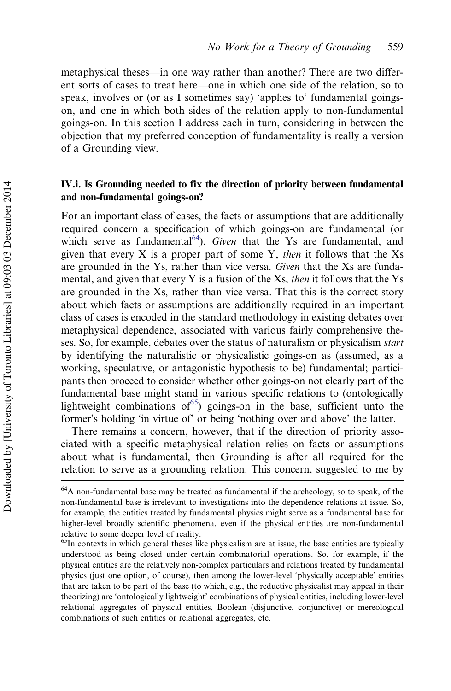metaphysical theses—in one way rather than another? There are two different sorts of cases to treat here—one in which one side of the relation, so to speak, involves or (or as I sometimes say) 'applies to' fundamental goingson, and one in which both sides of the relation apply to non-fundamental goings-on. In this section I address each in turn, considering in between the objection that my preferred conception of fundamentality is really a version of a Grounding view.

## IV.i. Is Grounding needed to fix the direction of priority between fundamental and non-fundamental goings-on?

For an important class of cases, the facts or assumptions that are additionally required concern a specification of which goings-on are fundamental (or which serve as fundamental<sup>64</sup>). Given that the Ys are fundamental, and given that every  $X$  is a proper part of some  $Y$ , then it follows that the  $Xs$ are grounded in the Ys, rather than vice versa. Given that the Xs are fundamental, and given that every Y is a fusion of the Xs, then it follows that the Ys are grounded in the Xs, rather than vice versa. That this is the correct story about which facts or assumptions are additionally required in an important class of cases is encoded in the standard methodology in existing debates over metaphysical dependence, associated with various fairly comprehensive theses. So, for example, debates over the status of naturalism or physicalism start by identifying the naturalistic or physicalistic goings-on as (assumed, as a working, speculative, or antagonistic hypothesis to be) fundamental; participants then proceed to consider whether other goings-on not clearly part of the fundamental base might stand in various specific relations to (ontologically lightweight combinations of  $65$ ) goings-on in the base, sufficient unto the former's holding 'in virtue of' or being 'nothing over and above' the latter.

There remains a concern, however, that if the direction of priority associated with a specific metaphysical relation relies on facts or assumptions about what is fundamental, then Grounding is after all required for the relation to serve as a grounding relation. This concern, suggested to me by

<sup>&</sup>lt;sup>64</sup>A non-fundamental base may be treated as fundamental if the archeology, so to speak, of the non-fundamental base is irrelevant to investigations into the dependence relations at issue. So, for example, the entities treated by fundamental physics might serve as a fundamental base for higher-level broadly scientific phenomena, even if the physical entities are non-fundamental relative to some deeper level of reality.

 $<sup>65</sup>$ In contexts in which general theses like physicalism are at issue, the base entities are typically</sup> understood as being closed under certain combinatorial operations. So, for example, if the physical entities are the relatively non-complex particulars and relations treated by fundamental physics (just one option, of course), then among the lower-level 'physically acceptable' entities that are taken to be part of the base (to which, e.g., the reductive physicalist may appeal in their theorizing) are 'ontologically lightweight' combinations of physical entities, including lower-level relational aggregates of physical entities, Boolean (disjunctive, conjunctive) or mereological combinations of such entities or relational aggregates, etc.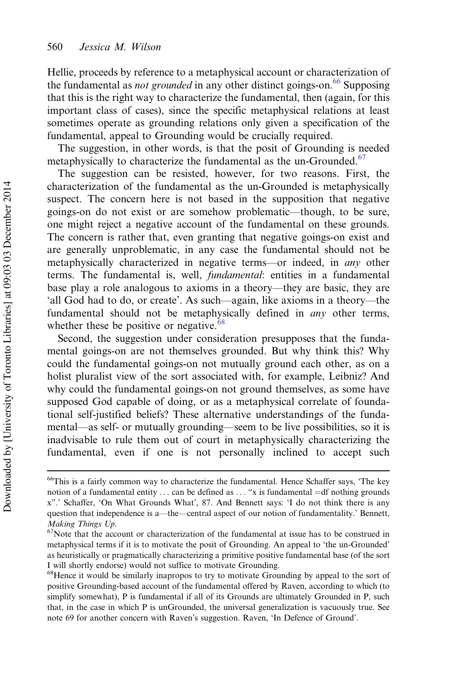Hellie, proceeds by reference to a metaphysical account or characterization of the fundamental as *not grounded* in any other distinct goings-on.<sup>66</sup> Supposing that this is the right way to characterize the fundamental, then (again, for this important class of cases), since the specific metaphysical relations at least sometimes operate as grounding relations only given a specification of the fundamental, appeal to Grounding would be crucially required.

The suggestion, in other words, is that the posit of Grounding is needed metaphysically to characterize the fundamental as the un-Grounded.<sup>67</sup>

The suggestion can be resisted, however, for two reasons. First, the characterization of the fundamental as the un-Grounded is metaphysically suspect. The concern here is not based in the supposition that negative goings-on do not exist or are somehow problematic—though, to be sure, one might reject a negative account of the fundamental on these grounds. The concern is rather that, even granting that negative goings-on exist and are generally unproblematic, in any case the fundamental should not be metaphysically characterized in negative terms—or indeed, in any other terms. The fundamental is, well, fundamental: entities in a fundamental base play a role analogous to axioms in a theory—they are basic, they are 'all God had to do, or create'. As such—again, like axioms in a theory—the fundamental should not be metaphysically defined in any other terms, whether these be positive or negative.<sup>68</sup>

Second, the suggestion under consideration presupposes that the fundamental goings-on are not themselves grounded. But why think this? Why could the fundamental goings-on not mutually ground each other, as on a holist pluralist view of the sort associated with, for example, Leibniz? And why could the fundamental goings-on not ground themselves, as some have supposed God capable of doing, or as a metaphysical correlate of foundational self-justified beliefs? These alternative understandings of the fundamental—as self- or mutually grounding—seem to be live possibilities, so it is inadvisable to rule them out of court in metaphysically characterizing the fundamental, even if one is not personally inclined to accept such

<sup>66</sup>This is a fairly common way to characterize the fundamental. Hence Schaffer says, 'The key notion of a fundamental entity  $\ldots$  can be defined as  $\ldots$  "x is fundamental  $= df$  nothing grounds x".' Schaffer, 'On What Grounds What', 87. And Bennett says: 'I do not think there is any question that independence is a—the—central aspect of our notion of fundamentality.' Bennett, *Making Things Up.*<br><sup>67</sup>Note that the account or characterization of the fundamental at issue has to be construed in

metaphysical terms if it is to motivate the posit of Grounding. An appeal to 'the un-Grounded' as heuristically or pragmatically characterizing a primitive positive fundamental base (of the sort I will shortly endorse) would not suffice to motivate Grounding.

<sup>&</sup>lt;sup>68</sup>Hence it would be similarly inapropos to try to motivate Grounding by appeal to the sort of positive Grounding-based account of the fundamental offered by Raven, according to which (to simplify somewhat), P is fundamental if all of its Grounds are ultimately Grounded in P, such that, in the case in which P is unGrounded, the universal generalization is vacuously true. See note 69 for another concern with Raven's suggestion. Raven, 'In Defence of Ground'.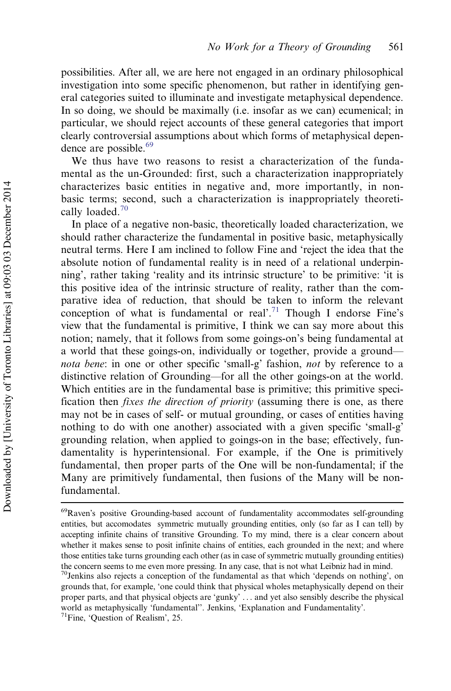possibilities. After all, we are here not engaged in an ordinary philosophical investigation into some specific phenomenon, but rather in identifying general categories suited to illuminate and investigate metaphysical dependence. In so doing, we should be maximally (i.e. insofar as we can) ecumenical; in particular, we should reject accounts of these general categories that import clearly controversial assumptions about which forms of metaphysical dependence are possible.<sup>69</sup>

We thus have two reasons to resist a characterization of the fundamental as the un-Grounded: first, such a characterization inappropriately characterizes basic entities in negative and, more importantly, in nonbasic terms; second, such a characterization is inappropriately theoretically loaded.<sup>70</sup>

In place of a negative non-basic, theoretically loaded characterization, we should rather characterize the fundamental in positive basic, metaphysically neutral terms. Here I am inclined to follow Fine and 'reject the idea that the absolute notion of fundamental reality is in need of a relational underpinning', rather taking 'reality and its intrinsic structure' to be primitive: 'it is this positive idea of the intrinsic structure of reality, rather than the comparative idea of reduction, that should be taken to inform the relevant conception of what is fundamental or real'.<sup>71</sup> Though I endorse Fine's view that the fundamental is primitive, I think we can say more about this notion; namely, that it follows from some goings-on's being fundamental at a world that these goings-on, individually or together, provide a ground nota bene: in one or other specific 'small-g' fashion, not by reference to a distinctive relation of Grounding—for all the other goings-on at the world. Which entities are in the fundamental base is primitive; this primitive specification then fixes the direction of priority (assuming there is one, as there may not be in cases of self- or mutual grounding, or cases of entities having nothing to do with one another) associated with a given specific 'small-g' grounding relation, when applied to goings-on in the base; effectively, fundamentality is hyperintensional. For example, if the One is primitively fundamental, then proper parts of the One will be non-fundamental; if the Many are primitively fundamental, then fusions of the Many will be nonfundamental.

<sup>&</sup>lt;sup>69</sup>Raven's positive Grounding-based account of fundamentality accommodates self-grounding entities, but accomodates symmetric mutually grounding entities, only (so far as I can tell) by accepting infinite chains of transitive Grounding. To my mind, there is a clear concern about whether it makes sense to posit infinite chains of entities, each grounded in the next; and where those entities take turns grounding each other (as in case of symmetric mutually grounding entities) the concern seems to me even more pressing. In any case, that is not what Leibniz had in mind.

<sup>70</sup>Jenkins also rejects a conception of the fundamental as that which 'depends on nothing', on grounds that, for example, 'one could think that physical wholes metaphysically depend on their proper parts, and that physical objects are 'gunky' . . . and yet also sensibly describe the physical world as metaphysically 'fundamental''. Jenkins, 'Explanation and Fundamentality'. 71Fine, 'Question of Realism', 25.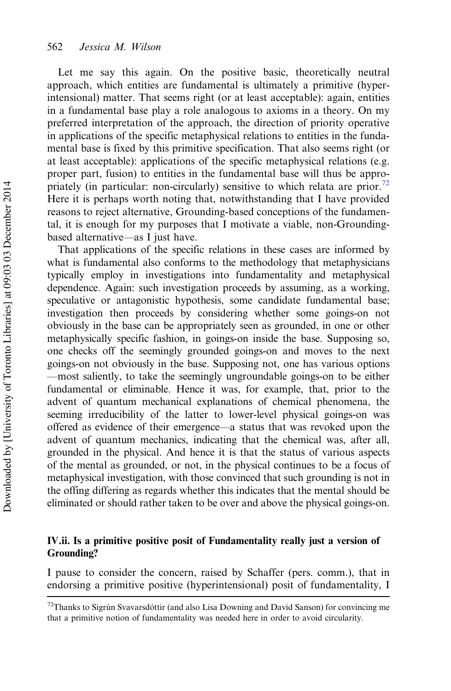Let me say this again. On the positive basic, theoretically neutral approach, which entities are fundamental is ultimately a primitive (hyperintensional) matter. That seems right (or at least acceptable): again, entities in a fundamental base play a role analogous to axioms in a theory. On my preferred interpretation of the approach, the direction of priority operative in applications of the specific metaphysical relations to entities in the fundamental base is fixed by this primitive specification. That also seems right (or at least acceptable): applications of the specific metaphysical relations (e.g. proper part, fusion) to entities in the fundamental base will thus be appropriately (in particular: non-circularly) sensitive to which relata are prior.<sup>72</sup> Here it is perhaps worth noting that, notwithstanding that I have provided reasons to reject alternative, Grounding-based conceptions of the fundamental, it is enough for my purposes that I motivate a viable, non-Groundingbased alternative—as I just have.

That applications of the specific relations in these cases are informed by what is fundamental also conforms to the methodology that metaphysicians typically employ in investigations into fundamentality and metaphysical dependence. Again: such investigation proceeds by assuming, as a working, speculative or antagonistic hypothesis, some candidate fundamental base; investigation then proceeds by considering whether some goings-on not obviously in the base can be appropriately seen as grounded, in one or other metaphysically specific fashion, in goings-on inside the base. Supposing so, one checks off the seemingly grounded goings-on and moves to the next goings-on not obviously in the base. Supposing not, one has various options —most saliently, to take the seemingly ungroundable goings-on to be either fundamental or eliminable. Hence it was, for example, that, prior to the advent of quantum mechanical explanations of chemical phenomena, the seeming irreducibility of the latter to lower-level physical goings-on was offered as evidence of their emergence—a status that was revoked upon the advent of quantum mechanics, indicating that the chemical was, after all, grounded in the physical. And hence it is that the status of various aspects of the mental as grounded, or not, in the physical continues to be a focus of metaphysical investigation, with those convinced that such grounding is not in the offing differing as regards whether this indicates that the mental should be eliminated or should rather taken to be over and above the physical goings-on.

## IV.ii. Is a primitive positive posit of Fundamentality really just a version of Grounding?

I pause to consider the concern, raised by Schaffer (pers. comm.), that in endorsing a primitive positive (hyperintensional) posit of fundamentality, I

 $72$ Thanks to Sigrún Svavarsdóttir (and also Lisa Downing and David Sanson) for convincing me that a primitive notion of fundamentality was needed here in order to avoid circularity.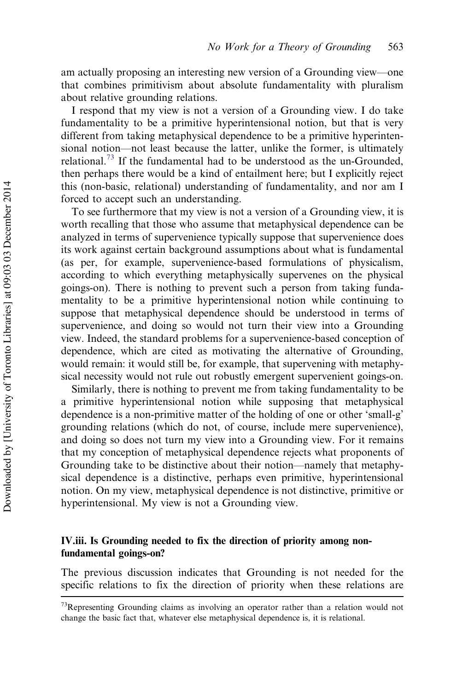am actually proposing an interesting new version of a Grounding view—one that combines primitivism about absolute fundamentality with pluralism about relative grounding relations.

I respond that my view is not a version of a Grounding view. I do take fundamentality to be a primitive hyperintensional notion, but that is very different from taking metaphysical dependence to be a primitive hyperintensional notion—not least because the latter, unlike the former, is ultimately relational.<sup>73</sup> If the fundamental had to be understood as the un-Grounded, then perhaps there would be a kind of entailment here; but I explicitly reject this (non-basic, relational) understanding of fundamentality, and nor am I forced to accept such an understanding.

To see furthermore that my view is not a version of a Grounding view, it is worth recalling that those who assume that metaphysical dependence can be analyzed in terms of supervenience typically suppose that supervenience does its work against certain background assumptions about what is fundamental (as per, for example, supervenience-based formulations of physicalism, according to which everything metaphysically supervenes on the physical goings-on). There is nothing to prevent such a person from taking fundamentality to be a primitive hyperintensional notion while continuing to suppose that metaphysical dependence should be understood in terms of supervenience, and doing so would not turn their view into a Grounding view. Indeed, the standard problems for a supervenience-based conception of dependence, which are cited as motivating the alternative of Grounding, would remain: it would still be, for example, that supervening with metaphysical necessity would not rule out robustly emergent supervenient goings-on.

Similarly, there is nothing to prevent me from taking fundamentality to be a primitive hyperintensional notion while supposing that metaphysical dependence is a non-primitive matter of the holding of one or other 'small-g' grounding relations (which do not, of course, include mere supervenience), and doing so does not turn my view into a Grounding view. For it remains that my conception of metaphysical dependence rejects what proponents of Grounding take to be distinctive about their notion—namely that metaphysical dependence is a distinctive, perhaps even primitive, hyperintensional notion. On my view, metaphysical dependence is not distinctive, primitive or hyperintensional. My view is not a Grounding view.

## IV.iii. Is Grounding needed to fix the direction of priority among nonfundamental goings-on?

The previous discussion indicates that Grounding is not needed for the specific relations to fix the direction of priority when these relations are

<sup>&</sup>lt;sup>73</sup>Representing Grounding claims as involving an operator rather than a relation would not change the basic fact that, whatever else metaphysical dependence is, it is relational.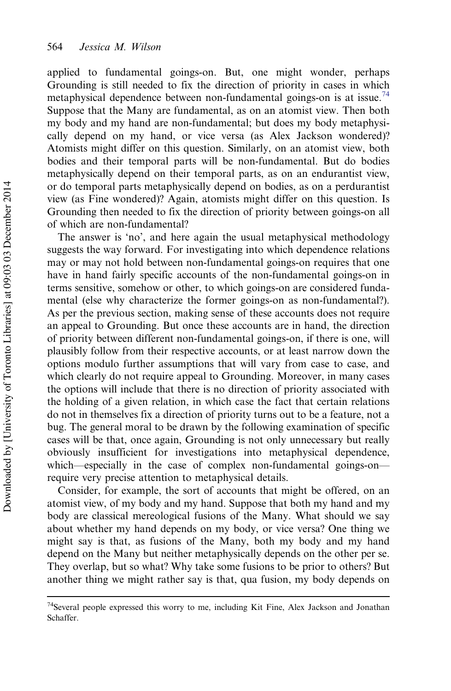applied to fundamental goings-on. But, one might wonder, perhaps Grounding is still needed to fix the direction of priority in cases in which metaphysical dependence between non-fundamental goings-on is at issue.<sup>74</sup> Suppose that the Many are fundamental, as on an atomist view. Then both my body and my hand are non-fundamental; but does my body metaphysically depend on my hand, or vice versa (as Alex Jackson wondered)? Atomists might differ on this question. Similarly, on an atomist view, both bodies and their temporal parts will be non-fundamental. But do bodies metaphysically depend on their temporal parts, as on an endurantist view, or do temporal parts metaphysically depend on bodies, as on a perdurantist view (as Fine wondered)? Again, atomists might differ on this question. Is Grounding then needed to fix the direction of priority between goings-on all of which are non-fundamental?

The answer is 'no', and here again the usual metaphysical methodology suggests the way forward. For investigating into which dependence relations may or may not hold between non-fundamental goings-on requires that one have in hand fairly specific accounts of the non-fundamental goings-on in terms sensitive, somehow or other, to which goings-on are considered fundamental (else why characterize the former goings-on as non-fundamental?). As per the previous section, making sense of these accounts does not require an appeal to Grounding. But once these accounts are in hand, the direction of priority between different non-fundamental goings-on, if there is one, will plausibly follow from their respective accounts, or at least narrow down the options modulo further assumptions that will vary from case to case, and which clearly do not require appeal to Grounding. Moreover, in many cases the options will include that there is no direction of priority associated with the holding of a given relation, in which case the fact that certain relations do not in themselves fix a direction of priority turns out to be a feature, not a bug. The general moral to be drawn by the following examination of specific cases will be that, once again, Grounding is not only unnecessary but really obviously insufficient for investigations into metaphysical dependence, which—especially in the case of complex non-fundamental goings-onrequire very precise attention to metaphysical details.

Consider, for example, the sort of accounts that might be offered, on an atomist view, of my body and my hand. Suppose that both my hand and my body are classical mereological fusions of the Many. What should we say about whether my hand depends on my body, or vice versa? One thing we might say is that, as fusions of the Many, both my body and my hand depend on the Many but neither metaphysically depends on the other per se. They overlap, but so what? Why take some fusions to be prior to others? But another thing we might rather say is that, qua fusion, my body depends on

<sup>74</sup>Several people expressed this worry to me, including Kit Fine, Alex Jackson and Jonathan Schaffer.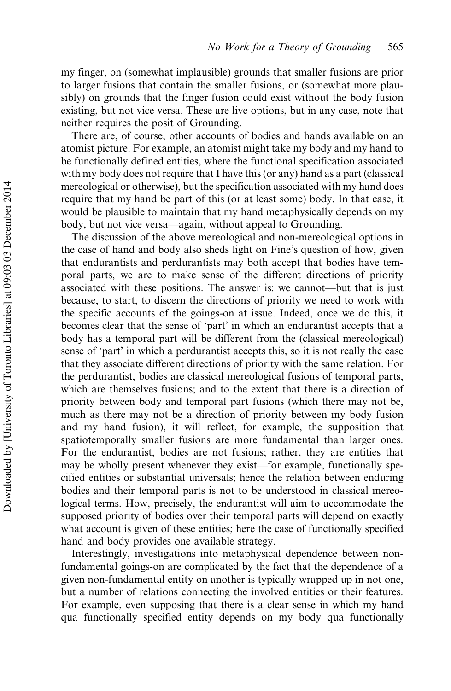my finger, on (somewhat implausible) grounds that smaller fusions are prior to larger fusions that contain the smaller fusions, or (somewhat more plausibly) on grounds that the finger fusion could exist without the body fusion existing, but not vice versa. These are live options, but in any case, note that neither requires the posit of Grounding.

There are, of course, other accounts of bodies and hands available on an atomist picture. For example, an atomist might take my body and my hand to be functionally defined entities, where the functional specification associated with my body does not require that I have this (or any) hand as a part (classical mereological or otherwise), but the specification associated with my hand does require that my hand be part of this (or at least some) body. In that case, it would be plausible to maintain that my hand metaphysically depends on my body, but not vice versa—again, without appeal to Grounding.

The discussion of the above mereological and non-mereological options in the case of hand and body also sheds light on Fine's question of how, given that endurantists and perdurantists may both accept that bodies have temporal parts, we are to make sense of the different directions of priority associated with these positions. The answer is: we cannot—but that is just because, to start, to discern the directions of priority we need to work with the specific accounts of the goings-on at issue. Indeed, once we do this, it becomes clear that the sense of 'part' in which an endurantist accepts that a body has a temporal part will be different from the (classical mereological) sense of 'part' in which a perdurantist accepts this, so it is not really the case that they associate different directions of priority with the same relation. For the perdurantist, bodies are classical mereological fusions of temporal parts, which are themselves fusions; and to the extent that there is a direction of priority between body and temporal part fusions (which there may not be, much as there may not be a direction of priority between my body fusion and my hand fusion), it will reflect, for example, the supposition that spatiotemporally smaller fusions are more fundamental than larger ones. For the endurantist, bodies are not fusions; rather, they are entities that may be wholly present whenever they exist—for example, functionally specified entities or substantial universals; hence the relation between enduring bodies and their temporal parts is not to be understood in classical mereological terms. How, precisely, the endurantist will aim to accommodate the supposed priority of bodies over their temporal parts will depend on exactly what account is given of these entities; here the case of functionally specified hand and body provides one available strategy.

Interestingly, investigations into metaphysical dependence between nonfundamental goings-on are complicated by the fact that the dependence of a given non-fundamental entity on another is typically wrapped up in not one, but a number of relations connecting the involved entities or their features. For example, even supposing that there is a clear sense in which my hand qua functionally specified entity depends on my body qua functionally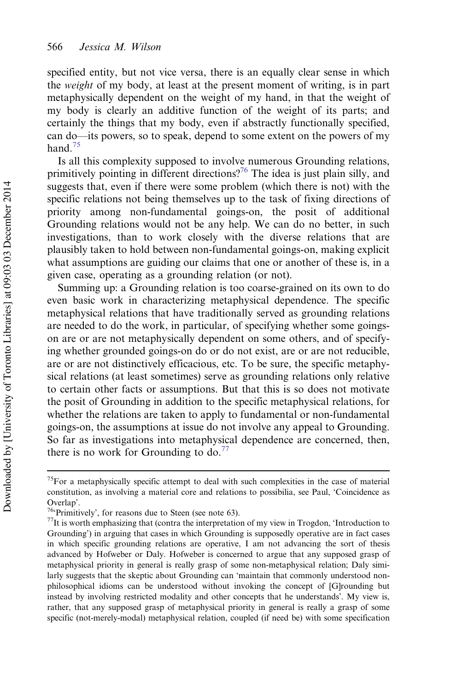specified entity, but not vice versa, there is an equally clear sense in which the weight of my body, at least at the present moment of writing, is in part metaphysically dependent on the weight of my hand, in that the weight of my body is clearly an additive function of the weight of its parts; and certainly the things that my body, even if abstractly functionally specified, can do—its powers, so to speak, depend to some extent on the powers of my hand.<sup>75</sup>

Is all this complexity supposed to involve numerous Grounding relations, primitively pointing in different directions?<sup>76</sup> The idea is just plain silly, and suggests that, even if there were some problem (which there is not) with the specific relations not being themselves up to the task of fixing directions of priority among non-fundamental goings-on, the posit of additional Grounding relations would not be any help. We can do no better, in such investigations, than to work closely with the diverse relations that are plausibly taken to hold between non-fundamental goings-on, making explicit what assumptions are guiding our claims that one or another of these is, in a given case, operating as a grounding relation (or not).

Summing up: a Grounding relation is too coarse-grained on its own to do even basic work in characterizing metaphysical dependence. The specific metaphysical relations that have traditionally served as grounding relations are needed to do the work, in particular, of specifying whether some goingson are or are not metaphysically dependent on some others, and of specifying whether grounded goings-on do or do not exist, are or are not reducible, are or are not distinctively efficacious, etc. To be sure, the specific metaphysical relations (at least sometimes) serve as grounding relations only relative to certain other facts or assumptions. But that this is so does not motivate the posit of Grounding in addition to the specific metaphysical relations, for whether the relations are taken to apply to fundamental or non-fundamental goings-on, the assumptions at issue do not involve any appeal to Grounding. So far as investigations into metaphysical dependence are concerned, then, there is no work for Grounding to do.<sup>77</sup>

 $75$ For a metaphysically specific attempt to deal with such complexities in the case of material constitution, as involving a material core and relations to possibilia, see Paul, 'Coincidence as Overlap'.<br><sup>76</sup>'Primitively', for reasons due to Steen (see note 63).<br><sup>77</sup>It is worth emphasizing that (contra the interpretation of my view in Trogdon, 'Introduction to

Grounding') in arguing that cases in which Grounding is supposedly operative are in fact cases in which specific grounding relations are operative, I am not advancing the sort of thesis advanced by Hofweber or Daly. Hofweber is concerned to argue that any supposed grasp of metaphysical priority in general is really grasp of some non-metaphysical relation; Daly similarly suggests that the skeptic about Grounding can 'maintain that commonly understood nonphilosophical idioms can be understood without invoking the concept of [G]rounding but instead by involving restricted modality and other concepts that he understands'. My view is, rather, that any supposed grasp of metaphysical priority in general is really a grasp of some specific (not-merely-modal) metaphysical relation, coupled (if need be) with some specification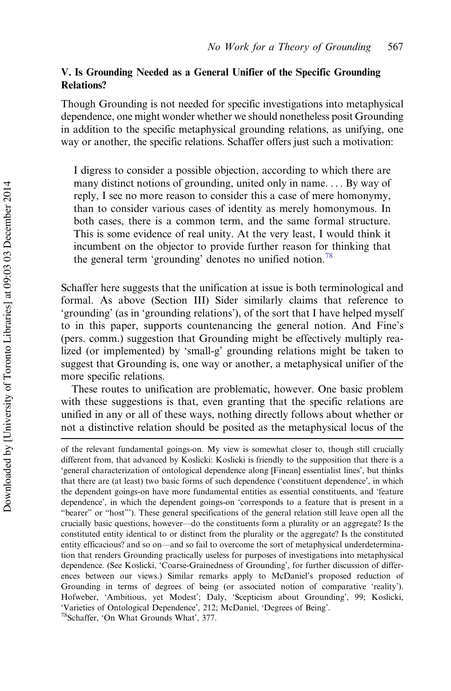## V. Is Grounding Needed as a General Unifier of the Specific Grounding Relations?

Though Grounding is not needed for specific investigations into metaphysical dependence, one might wonder whether we should nonetheless posit Grounding in addition to the specific metaphysical grounding relations, as unifying, one way or another, the specific relations. Schaffer offers just such a motivation:

I digress to consider a possible objection, according to which there are many distinct notions of grounding, united only in name. . . . By way of reply, I see no more reason to consider this a case of mere homonymy, than to consider various cases of identity as merely homonymous. In both cases, there is a common term, and the same formal structure. This is some evidence of real unity. At the very least, I would think it incumbent on the objector to provide further reason for thinking that the general term 'grounding' denotes no unified notion.<sup>78</sup>

Schaffer here suggests that the unification at issue is both terminological and formal. As above (Section III) Sider similarly claims that reference to 'grounding' (as in 'grounding relations'), of the sort that I have helped myself to in this paper, supports countenancing the general notion. And Fine's (pers. comm.) suggestion that Grounding might be effectively multiply realized (or implemented) by 'small-g' grounding relations might be taken to suggest that Grounding is, one way or another, a metaphysical unifier of the more specific relations.

These routes to unification are problematic, however. One basic problem with these suggestions is that, even granting that the specific relations are unified in any or all of these ways, nothing directly follows about whether or not a distinctive relation should be posited as the metaphysical locus of the

of the relevant fundamental goings-on. My view is somewhat closer to, though still crucially different from, that advanced by Koslicki: Koslicki is friendly to the supposition that there is a 'general characterization of ontological dependence along [Finean] essentialist lines', but thinks that there are (at least) two basic forms of such dependence ('constituent dependence', in which the dependent goings-on have more fundamental entities as essential constituents, and 'feature dependence', in which the dependent goings-on 'corresponds to a feature that is present in a "bearer" or "host"'). These general specifications of the general relation still leave open all the crucially basic questions, however—do the constituents form a plurality or an aggregate? Is the constituted entity identical to or distinct from the plurality or the aggregate? Is the constituted entity efficacious? and so on—and so fail to overcome the sort of metaphysical underdetermination that renders Grounding practically useless for purposes of investigations into metaphysical dependence. (See Koslicki, 'Coarse-Grainedness of Grounding', for further discussion of differences between our views.) Similar remarks apply to McDaniel's proposed reduction of Grounding in terms of degrees of being (or associated notion of comparative 'reality'). Hofweber, 'Ambitious, yet Modest'; Daly, 'Scepticism about Grounding', 99; Koslicki, 'Varieties of Ontological Dependence', 212; McDaniel, 'Degrees of Being'. 78Schaffer, 'On What Grounds What', 377.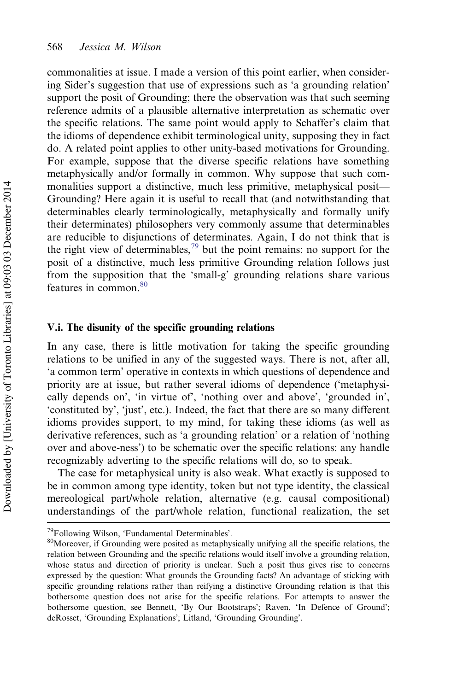commonalities at issue. I made a version of this point earlier, when considering Sider's suggestion that use of expressions such as 'a grounding relation' support the posit of Grounding; there the observation was that such seeming reference admits of a plausible alternative interpretation as schematic over the specific relations. The same point would apply to Schaffer's claim that the idioms of dependence exhibit terminological unity, supposing they in fact do. A related point applies to other unity-based motivations for Grounding. For example, suppose that the diverse specific relations have something metaphysically and/or formally in common. Why suppose that such commonalities support a distinctive, much less primitive, metaphysical posit— Grounding? Here again it is useful to recall that (and notwithstanding that determinables clearly terminologically, metaphysically and formally unify their determinates) philosophers very commonly assume that determinables are reducible to disjunctions of determinates. Again, I do not think that is the right view of determinables,<sup>79</sup> but the point remains: no support for the posit of a distinctive, much less primitive Grounding relation follows just from the supposition that the 'small-g' grounding relations share various features in common.<sup>80</sup>

#### V.i. The disunity of the specific grounding relations

In any case, there is little motivation for taking the specific grounding relations to be unified in any of the suggested ways. There is not, after all, 'a common term' operative in contexts in which questions of dependence and priority are at issue, but rather several idioms of dependence ('metaphysically depends on', 'in virtue of', 'nothing over and above', 'grounded in', 'constituted by', 'just', etc.). Indeed, the fact that there are so many different idioms provides support, to my mind, for taking these idioms (as well as derivative references, such as 'a grounding relation' or a relation of 'nothing over and above-ness') to be schematic over the specific relations: any handle recognizably adverting to the specific relations will do, so to speak.

The case for metaphysical unity is also weak. What exactly is supposed to be in common among type identity, token but not type identity, the classical mereological part/whole relation, alternative (e.g. causal compositional) understandings of the part/whole relation, functional realization, the set

<sup>&</sup>lt;sup>79</sup>Following Wilson, 'Fundamental Determinables'.<br><sup>80</sup>Moreover, if Grounding were posited as metaphysically unifying all the specific relations, the relation between Grounding and the specific relations would itself involve a grounding relation, whose status and direction of priority is unclear. Such a posit thus gives rise to concerns expressed by the question: What grounds the Grounding facts? An advantage of sticking with specific grounding relations rather than reifying a distinctive Grounding relation is that this bothersome question does not arise for the specific relations. For attempts to answer the bothersome question, see Bennett, 'By Our Bootstraps'; Raven, 'In Defence of Ground'; deRosset, 'Grounding Explanations'; Litland, 'Grounding Grounding'.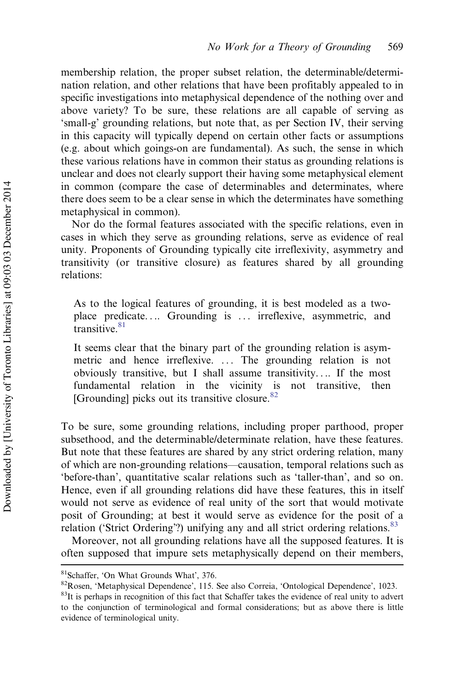membership relation, the proper subset relation, the determinable/determination relation, and other relations that have been profitably appealed to in specific investigations into metaphysical dependence of the nothing over and above variety? To be sure, these relations are all capable of serving as 'small-g' grounding relations, but note that, as per Section IV, their serving in this capacity will typically depend on certain other facts or assumptions (e.g. about which goings-on are fundamental). As such, the sense in which these various relations have in common their status as grounding relations is unclear and does not clearly support their having some metaphysical element in common (compare the case of determinables and determinates, where there does seem to be a clear sense in which the determinates have something metaphysical in common).

Nor do the formal features associated with the specific relations, even in cases in which they serve as grounding relations, serve as evidence of real unity. Proponents of Grounding typically cite irreflexivity, asymmetry and transitivity (or transitive closure) as features shared by all grounding relations:

As to the logical features of grounding, it is best modeled as a twoplace predicate.... Grounding is ... irreflexive, asymmetric, and  $transitive<sup>81</sup>$ 

It seems clear that the binary part of the grounding relation is asymmetric and hence irreflexive. ... The grounding relation is not obviously transitive, but I shall assume transitivity.... If the most fundamental relation in the vicinity is not transitive, then [Grounding] picks out its transitive closure.<sup>82</sup>

To be sure, some grounding relations, including proper parthood, proper subsethood, and the determinable/determinate relation, have these features. But note that these features are shared by any strict ordering relation, many of which are non-grounding relations—causation, temporal relations such as 'before-than', quantitative scalar relations such as 'taller-than', and so on. Hence, even if all grounding relations did have these features, this in itself would not serve as evidence of real unity of the sort that would motivate posit of Grounding; at best it would serve as evidence for the posit of a relation ('Strict Ordering'?) unifying any and all strict ordering relations.<sup>83</sup>

Moreover, not all grounding relations have all the supposed features. It is often supposed that impure sets metaphysically depend on their members,

<sup>&</sup>lt;sup>81</sup>Schaffer, 'On What Grounds What', 376.<br><sup>82</sup>Rosen, 'Metaphysical Dependence', 115. See also Correia, 'Ontological Dependence', 1023.<br><sup>83</sup>It is perhaps in recognition of this fact that Schaffer takes the evidence of rea

to the conjunction of terminological and formal considerations; but as above there is little evidence of terminological unity.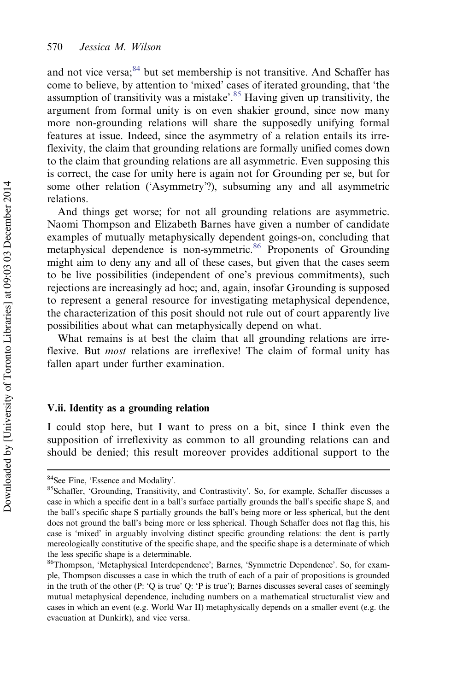and not vice versa;<sup>84</sup> but set membership is not transitive. And Schaffer has come to believe, by attention to 'mixed' cases of iterated grounding, that 'the assumption of transitivity was a mistake'. <sup>85</sup> Having given up transitivity, the argument from formal unity is on even shakier ground, since now many more non-grounding relations will share the supposedly unifying formal features at issue. Indeed, since the asymmetry of a relation entails its irreflexivity, the claim that grounding relations are formally unified comes down to the claim that grounding relations are all asymmetric. Even supposing this is correct, the case for unity here is again not for Grounding per se, but for some other relation ('Asymmetry'?), subsuming any and all asymmetric relations.

And things get worse; for not all grounding relations are asymmetric. Naomi Thompson and Elizabeth Barnes have given a number of candidate examples of mutually metaphysically dependent goings-on, concluding that metaphysical dependence is non-symmetric.<sup>86</sup> Proponents of Grounding might aim to deny any and all of these cases, but given that the cases seem to be live possibilities (independent of one's previous commitments), such rejections are increasingly ad hoc; and, again, insofar Grounding is supposed to represent a general resource for investigating metaphysical dependence, the characterization of this posit should not rule out of court apparently live possibilities about what can metaphysically depend on what.

What remains is at best the claim that all grounding relations are irreflexive. But *most* relations are irreflexive! The claim of formal unity has fallen apart under further examination.

### V.ii. Identity as a grounding relation

I could stop here, but I want to press on a bit, since I think even the supposition of irreflexivity as common to all grounding relations can and should be denied; this result moreover provides additional support to the

<sup>&</sup>lt;sup>84</sup>See Fine, 'Essence and Modality'.<br><sup>85</sup>Schaffer, 'Grounding, Transitivity, and Contrastivity'. So, for example, Schaffer discusses a case in which a specific dent in a ball's surface partially grounds the ball's specific shape S, and the ball's specific shape S partially grounds the ball's being more or less spherical, but the dent does not ground the ball's being more or less spherical. Though Schaffer does not flag this, his case is 'mixed' in arguably involving distinct specific grounding relations: the dent is partly mereologically constitutive of the specific shape, and the specific shape is a determinate of which the less specific shape is a determinable.

<sup>86</sup>Thompson, 'Metaphysical Interdependence'; Barnes, 'Symmetric Dependence'. So, for example, Thompson discusses a case in which the truth of each of a pair of propositions is grounded in the truth of the other (P:  $Q$  is true' Q:  $P$  is true'); Barnes discusses several cases of seemingly mutual metaphysical dependence, including numbers on a mathematical structuralist view and cases in which an event (e.g. World War II) metaphysically depends on a smaller event (e.g. the evacuation at Dunkirk), and vice versa.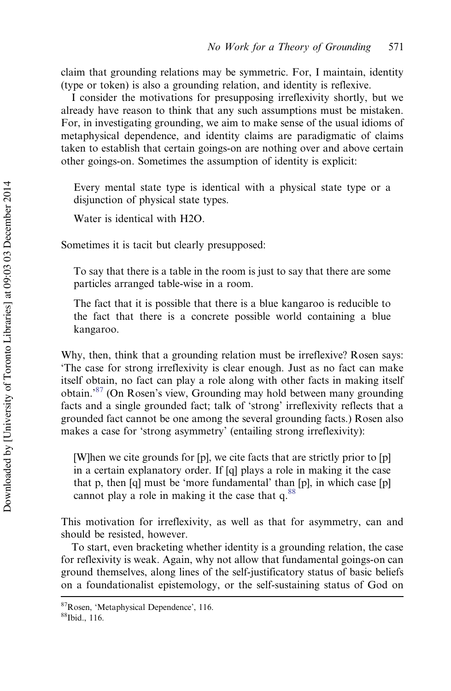claim that grounding relations may be symmetric. For, I maintain, identity (type or token) is also a grounding relation, and identity is reflexive.

I consider the motivations for presupposing irreflexivity shortly, but we already have reason to think that any such assumptions must be mistaken. For, in investigating grounding, we aim to make sense of the usual idioms of metaphysical dependence, and identity claims are paradigmatic of claims taken to establish that certain goings-on are nothing over and above certain other goings-on. Sometimes the assumption of identity is explicit:

Every mental state type is identical with a physical state type or a disjunction of physical state types.

Water is identical with H2O.

Sometimes it is tacit but clearly presupposed:

To say that there is a table in the room is just to say that there are some particles arranged table-wise in a room.

The fact that it is possible that there is a blue kangaroo is reducible to the fact that there is a concrete possible world containing a blue kangaroo.

Why, then, think that a grounding relation must be irreflexive? Rosen says: 'The case for strong irreflexivity is clear enough. Just as no fact can make itself obtain, no fact can play a role along with other facts in making itself obtain.' <sup>87</sup> (On Rosen's view, Grounding may hold between many grounding facts and a single grounded fact; talk of 'strong' irreflexivity reflects that a grounded fact cannot be one among the several grounding facts.) Rosen also makes a case for 'strong asymmetry' (entailing strong irreflexivity):

[W]hen we cite grounds for [p], we cite facts that are strictly prior to [p] in a certain explanatory order. If [q] plays a role in making it the case that p, then [q] must be 'more fundamental' than [p], in which case [p] cannot play a role in making it the case that q.<sup>88</sup>

This motivation for irreflexivity, as well as that for asymmetry, can and should be resisted, however.

To start, even bracketing whether identity is a grounding relation, the case for reflexivity is weak. Again, why not allow that fundamental goings-on can ground themselves, along lines of the self-justificatory status of basic beliefs on a foundationalist epistemology, or the self-sustaining status of God on

 ${}^{87}$ Rosen, 'Metaphysical Dependence', 116.  ${}^{88}$ Ibid., 116.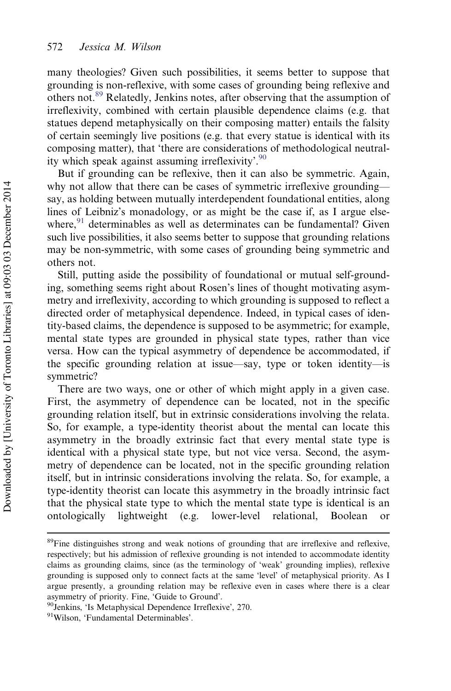many theologies? Given such possibilities, it seems better to suppose that grounding is non-reflexive, with some cases of grounding being reflexive and others not.<sup>89</sup> Relatedly, Jenkins notes, after observing that the assumption of irreflexivity, combined with certain plausible dependence claims (e.g. that statues depend metaphysically on their composing matter) entails the falsity of certain seemingly live positions (e.g. that every statue is identical with its composing matter), that 'there are considerations of methodological neutrality which speak against assuming irreflexivity'. 90

But if grounding can be reflexive, then it can also be symmetric. Again, why not allow that there can be cases of symmetric irreflexive grounding say, as holding between mutually interdependent foundational entities, along lines of Leibniz's monadology, or as might be the case if, as I argue elsewhere, $91$  determinables as well as determinates can be fundamental? Given such live possibilities, it also seems better to suppose that grounding relations may be non-symmetric, with some cases of grounding being symmetric and others not.

Still, putting aside the possibility of foundational or mutual self-grounding, something seems right about Rosen's lines of thought motivating asymmetry and irreflexivity, according to which grounding is supposed to reflect a directed order of metaphysical dependence. Indeed, in typical cases of identity-based claims, the dependence is supposed to be asymmetric; for example, mental state types are grounded in physical state types, rather than vice versa. How can the typical asymmetry of dependence be accommodated, if the specific grounding relation at issue—say, type or token identity—is symmetric?

There are two ways, one or other of which might apply in a given case. First, the asymmetry of dependence can be located, not in the specific grounding relation itself, but in extrinsic considerations involving the relata. So, for example, a type-identity theorist about the mental can locate this asymmetry in the broadly extrinsic fact that every mental state type is identical with a physical state type, but not vice versa. Second, the asymmetry of dependence can be located, not in the specific grounding relation itself, but in intrinsic considerations involving the relata. So, for example, a type-identity theorist can locate this asymmetry in the broadly intrinsic fact that the physical state type to which the mental state type is identical is an ontologically lightweight (e.g. lower-level relational, Boolean or

 $89$ Fine distinguishes strong and weak notions of grounding that are irreflexive and reflexive, respectively; but his admission of reflexive grounding is not intended to accommodate identity claims as grounding claims, since (as the terminology of 'weak' grounding implies), reflexive grounding is supposed only to connect facts at the same 'level' of metaphysical priority. As I argue presently, a grounding relation may be reflexive even in cases where there is a clear

asymmetry of priority. Fine, 'Guide to Ground'.<br><sup>90</sup>Jenkins, 'Is Metaphysical Dependence Irreflexive', 270.<br><sup>91</sup>Wilson, 'Fundamental Determinables'.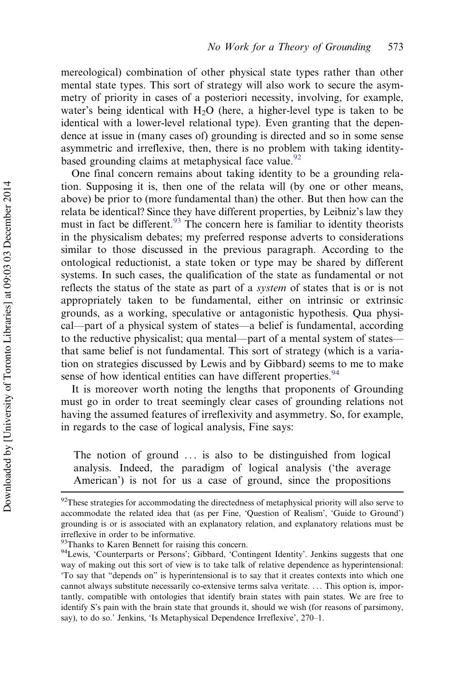mereological) combination of other physical state types rather than other mental state types. This sort of strategy will also work to secure the asymmetry of priority in cases of a posteriori necessity, involving, for example, water's being identical with  $H_2O$  (here, a higher-level type is taken to be identical with a lower-level relational type). Even granting that the dependence at issue in (many cases of) grounding is directed and so in some sense asymmetric and irreflexive, then, there is no problem with taking identitybased grounding claims at metaphysical face value.<sup>92</sup>

One final concern remains about taking identity to be a grounding relation. Supposing it is, then one of the relata will (by one or other means, above) be prior to (more fundamental than) the other. But then how can the relata be identical? Since they have different properties, by Leibniz's law they must in fact be different.<sup>93</sup> The concern here is familiar to identity theorists in the physicalism debates; my preferred response adverts to considerations similar to those discussed in the previous paragraph. According to the ontological reductionist, a state token or type may be shared by different systems. In such cases, the qualification of the state as fundamental or not reflects the status of the state as part of a system of states that is or is not appropriately taken to be fundamental, either on intrinsic or extrinsic grounds, as a working, speculative or antagonistic hypothesis. Qua physical—part of a physical system of states—a belief is fundamental, according to the reductive physicalist; qua mental—part of a mental system of states that same belief is not fundamental. This sort of strategy (which is a variation on strategies discussed by Lewis and by Gibbard) seems to me to make sense of how identical entities can have different properties.<sup>94</sup>

It is moreover worth noting the lengths that proponents of Grounding must go in order to treat seemingly clear cases of grounding relations not having the assumed features of irreflexivity and asymmetry. So, for example, in regards to the case of logical analysis, Fine says:

The notion of ground ... is also to be distinguished from logical analysis. Indeed, the paradigm of logical analysis ('the average American') is not for us a case of ground, since the propositions

<sup>&</sup>lt;sup>92</sup>These strategies for accommodating the directedness of metaphysical priority will also serve to accommodate the related idea that (as per Fine, 'Question of Realism', 'Guide to Ground') grounding is or is associated with an explanatory relation, and explanatory relations must be irreflexive in order to be informative.<br><sup>93</sup>Thanks to Karen Bennett for raising this concern.

<sup>&</sup>lt;sup>94</sup>Lewis, 'Counterparts or Persons'; Gibbard, 'Contingent Identity'. Jenkins suggests that one way of making out this sort of view is to take talk of relative dependence as hyperintensional: 'To say that "depends on" is hyperintensional is to say that it creates contexts into which one cannot always substitute necessarily co-extensive terms salva veritate. . . . This option is, importantly, compatible with ontologies that identify brain states with pain states. We are free to identify S's pain with the brain state that grounds it, should we wish (for reasons of parsimony, say), to do so.' Jenkins, 'Is Metaphysical Dependence Irreflexive', 270–1.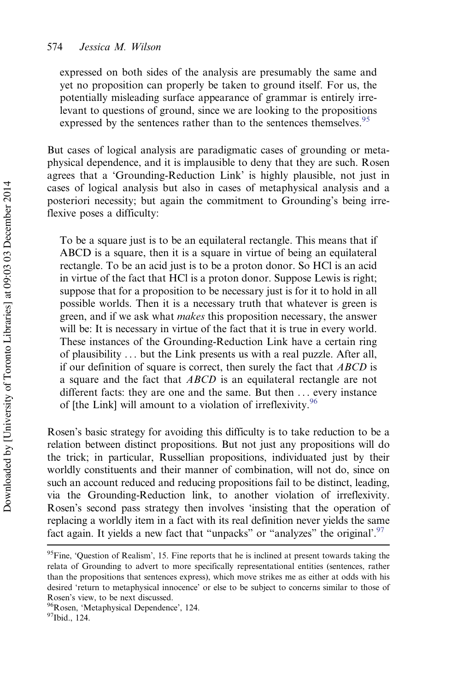expressed on both sides of the analysis are presumably the same and yet no proposition can properly be taken to ground itself. For us, the potentially misleading surface appearance of grammar is entirely irrelevant to questions of ground, since we are looking to the propositions expressed by the sentences rather than to the sentences themselves.<sup>95</sup>

But cases of logical analysis are paradigmatic cases of grounding or metaphysical dependence, and it is implausible to deny that they are such. Rosen agrees that a 'Grounding-Reduction Link' is highly plausible, not just in cases of logical analysis but also in cases of metaphysical analysis and a posteriori necessity; but again the commitment to Grounding's being irreflexive poses a difficulty:

To be a square just is to be an equilateral rectangle. This means that if ABCD is a square, then it is a square in virtue of being an equilateral rectangle. To be an acid just is to be a proton donor. So HCl is an acid in virtue of the fact that HCl is a proton donor. Suppose Lewis is right; suppose that for a proposition to be necessary just is for it to hold in all possible worlds. Then it is a necessary truth that whatever is green is green, and if we ask what makes this proposition necessary, the answer will be: It is necessary in virtue of the fact that it is true in every world. These instances of the Grounding-Reduction Link have a certain ring of plausibility . . . but the Link presents us with a real puzzle. After all, if our definition of square is correct, then surely the fact that  $ABCD$  is a square and the fact that ABCD is an equilateral rectangle are not different facts: they are one and the same. But then ... every instance of [the Link] will amount to a violation of irreflexivity.<sup>96</sup>

Rosen's basic strategy for avoiding this difficulty is to take reduction to be a relation between distinct propositions. But not just any propositions will do the trick; in particular, Russellian propositions, individuated just by their worldly constituents and their manner of combination, will not do, since on such an account reduced and reducing propositions fail to be distinct, leading, via the Grounding-Reduction link, to another violation of irreflexivity. Rosen's second pass strategy then involves 'insisting that the operation of replacing a worldly item in a fact with its real definition never yields the same fact again. It yields a new fact that "unpacks" or "analyzes" the original'.<sup>97</sup>

<sup>&</sup>lt;sup>95</sup>Fine, 'Question of Realism', 15. Fine reports that he is inclined at present towards taking the relata of Grounding to advert to more specifically representational entities (sentences, rather than the propositions that sentences express), which move strikes me as either at odds with his desired 'return to metaphysical innocence' or else to be subject to concerns similar to those of

Rosen's view, to be next discussed.<br><sup>96</sup>Rosen, 'Metaphysical Dependence', 124.<br><sup>97</sup>Ibid., 124.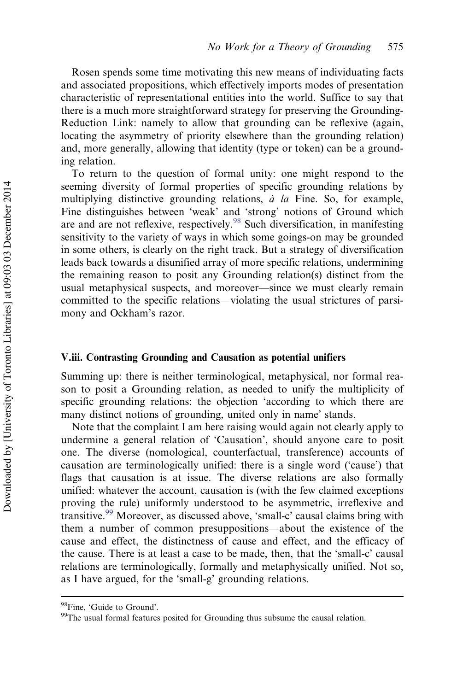Rosen spends some time motivating this new means of individuating facts and associated propositions, which effectively imports modes of presentation characteristic of representational entities into the world. Suffice to say that there is a much more straightforward strategy for preserving the Grounding-Reduction Link: namely to allow that grounding can be reflexive (again, locating the asymmetry of priority elsewhere than the grounding relation) and, more generally, allowing that identity (type or token) can be a grounding relation.

To return to the question of formal unity: one might respond to the seeming diversity of formal properties of specific grounding relations by multiplying distinctive grounding relations,  $\dot{a}$  la Fine. So, for example, Fine distinguishes between 'weak' and 'strong' notions of Ground which are and are not reflexive, respectively.<sup>98</sup> Such diversification, in manifesting sensitivity to the variety of ways in which some goings-on may be grounded in some others, is clearly on the right track. But a strategy of diversification leads back towards a disunified array of more specific relations, undermining the remaining reason to posit any Grounding relation(s) distinct from the usual metaphysical suspects, and moreover—since we must clearly remain committed to the specific relations—violating the usual strictures of parsimony and Ockham's razor.

#### V.iii. Contrasting Grounding and Causation as potential unifiers

Summing up: there is neither terminological, metaphysical, nor formal reason to posit a Grounding relation, as needed to unify the multiplicity of specific grounding relations: the objection 'according to which there are many distinct notions of grounding, united only in name' stands.

Note that the complaint I am here raising would again not clearly apply to undermine a general relation of 'Causation', should anyone care to posit one. The diverse (nomological, counterfactual, transference) accounts of causation are terminologically unified: there is a single word ('cause') that flags that causation is at issue. The diverse relations are also formally unified: whatever the account, causation is (with the few claimed exceptions proving the rule) uniformly understood to be asymmetric, irreflexive and transitive.<sup>99</sup> Moreover, as discussed above, 'small-c' causal claims bring with them a number of common presuppositions—about the existence of the cause and effect, the distinctness of cause and effect, and the efficacy of the cause. There is at least a case to be made, then, that the 'small-c' causal relations are terminologically, formally and metaphysically unified. Not so, as I have argued, for the 'small-g' grounding relations.

<sup>&</sup>lt;sup>98</sup>Fine, 'Guide to Ground'.<br><sup>99</sup>The usual formal features posited for Grounding thus subsume the causal relation.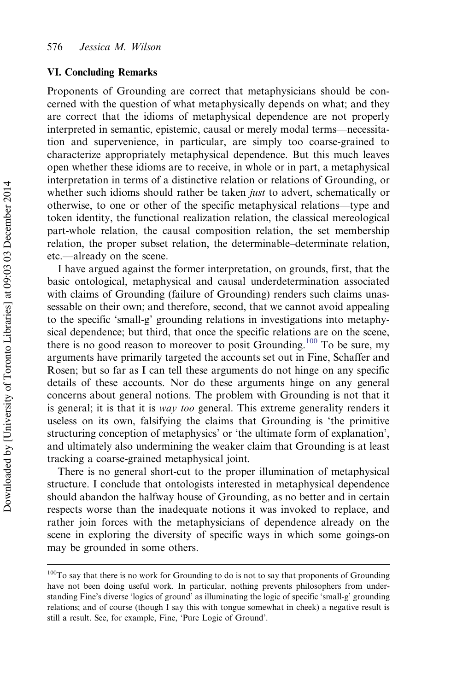#### VI. Concluding Remarks

Proponents of Grounding are correct that metaphysicians should be concerned with the question of what metaphysically depends on what; and they are correct that the idioms of metaphysical dependence are not properly interpreted in semantic, epistemic, causal or merely modal terms—necessitation and supervenience, in particular, are simply too coarse-grained to characterize appropriately metaphysical dependence. But this much leaves open whether these idioms are to receive, in whole or in part, a metaphysical interpretation in terms of a distinctive relation or relations of Grounding, or whether such idioms should rather be taken *just* to advert, schematically or otherwise, to one or other of the specific metaphysical relations—type and token identity, the functional realization relation, the classical mereological part-whole relation, the causal composition relation, the set membership relation, the proper subset relation, the determinable–determinate relation, etc.—already on the scene.

I have argued against the former interpretation, on grounds, first, that the basic ontological, metaphysical and causal underdetermination associated with claims of Grounding (failure of Grounding) renders such claims unassessable on their own; and therefore, second, that we cannot avoid appealing to the specific 'small-g' grounding relations in investigations into metaphysical dependence; but third, that once the specific relations are on the scene, there is no good reason to moreover to posit Grounding.<sup>100</sup> To be sure, my arguments have primarily targeted the accounts set out in Fine, Schaffer and Rosen; but so far as I can tell these arguments do not hinge on any specific details of these accounts. Nor do these arguments hinge on any general concerns about general notions. The problem with Grounding is not that it is general; it is that it is way too general. This extreme generality renders it useless on its own, falsifying the claims that Grounding is 'the primitive structuring conception of metaphysics' or 'the ultimate form of explanation', and ultimately also undermining the weaker claim that Grounding is at least tracking a coarse-grained metaphysical joint.

There is no general short-cut to the proper illumination of metaphysical structure. I conclude that ontologists interested in metaphysical dependence should abandon the halfway house of Grounding, as no better and in certain respects worse than the inadequate notions it was invoked to replace, and rather join forces with the metaphysicians of dependence already on the scene in exploring the diversity of specific ways in which some goings-on may be grounded in some others.

<sup>&</sup>lt;sup>100</sup>To say that there is no work for Grounding to do is not to say that proponents of Grounding have not been doing useful work. In particular, nothing prevents philosophers from understanding Fine's diverse 'logics of ground' as illuminating the logic of specific 'small-g' grounding relations; and of course (though I say this with tongue somewhat in cheek) a negative result is still a result. See, for example, Fine, 'Pure Logic of Ground'.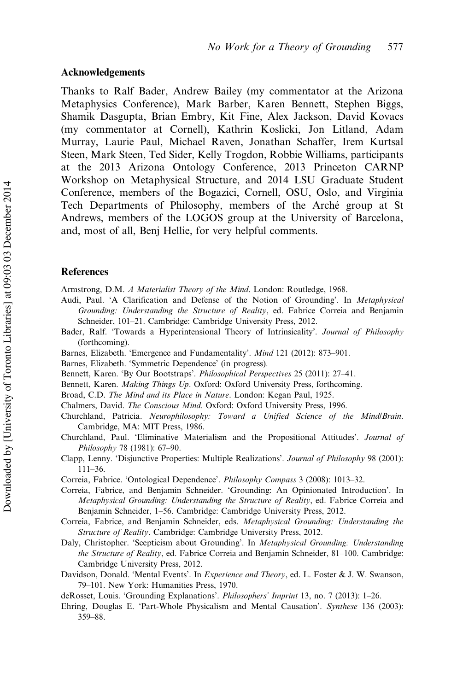#### Acknowledgements

Thanks to Ralf Bader, Andrew Bailey (my commentator at the Arizona Metaphysics Conference), Mark Barber, Karen Bennett, Stephen Biggs, Shamik Dasgupta, Brian Embry, Kit Fine, Alex Jackson, David Kovacs (my commentator at Cornell), Kathrin Koslicki, Jon Litland, Adam Murray, Laurie Paul, Michael Raven, Jonathan Schaffer, Irem Kurtsal Steen, Mark Steen, Ted Sider, Kelly Trogdon, Robbie Williams, participants at the 2013 Arizona Ontology Conference, 2013 Princeton CARNP Workshop on Metaphysical Structure, and 2014 LSU Graduate Student Conference, members of the Bogazici, Cornell, OSU, Oslo, and Virginia Tech Departments of Philosophy, members of the Arché group at St Andrews, members of the LOGOS group at the University of Barcelona, and, most of all, Benj Hellie, for very helpful comments.

#### References

Armstrong, D.M. A Materialist Theory of the Mind. London: Routledge, 1968.

- Audi, Paul. 'A Clarification and Defense of the Notion of Grounding'. In Metaphysical Grounding: Understanding the Structure of Reality, ed. Fabrice Correia and Benjamin Schneider, 101–21. Cambridge: Cambridge University Press, 2012.
- Bader, Ralf. 'Towards a Hyperintensional Theory of Intrinsicality'. Journal of Philosophy (forthcoming).
- Barnes, Elizabeth. 'Emergence and Fundamentality'. Mind 121 (2012): 873–901.
- Barnes, Elizabeth. 'Symmetric Dependence' (in progress).
- Bennett, Karen. 'By Our Bootstraps'. Philosophical Perspectives 25 (2011): 27–41.
- Bennett, Karen. Making Things Up. Oxford: Oxford University Press, forthcoming.
- Broad, C.D. The Mind and its Place in Nature. London: Kegan Paul, 1925.
- Chalmers, David. The Conscious Mind. Oxford: Oxford University Press, 1996.
- Churchland, Patricia. Neurophilosophy: Toward a Unified Science of the Mind/Brain. Cambridge, MA: MIT Press, 1986.
- Churchland, Paul. 'Eliminative Materialism and the Propositional Attitudes'. Journal of Philosophy 78 (1981): 67–90.
- Clapp, Lenny. 'Disjunctive Properties: Multiple Realizations'. Journal of Philosophy 98 (2001): 111–36.
- Correia, Fabrice. 'Ontological Dependence'. Philosophy Compass 3 (2008): 1013–32.
- Correia, Fabrice, and Benjamin Schneider. 'Grounding: An Opinionated Introduction'. In Metaphysical Grounding: Understanding the Structure of Reality, ed. Fabrice Correia and Benjamin Schneider, 1–56. Cambridge: Cambridge University Press, 2012.
- Correia, Fabrice, and Benjamin Schneider, eds. Metaphysical Grounding: Understanding the Structure of Reality. Cambridge: Cambridge University Press, 2012.
- Daly, Christopher. 'Scepticism about Grounding'. In Metaphysical Grounding: Understanding the Structure of Reality, ed. Fabrice Correia and Benjamin Schneider, 81–100. Cambridge: Cambridge University Press, 2012.
- Davidson, Donald. 'Mental Events'. In Experience and Theory, ed. L. Foster & J. W. Swanson, 79–101. New York: Humanities Press, 1970.
- deRosset, Louis. 'Grounding Explanations'. Philosophers' Imprint 13, no. 7 (2013): 1–26.
- Ehring, Douglas E. 'Part-Whole Physicalism and Mental Causation'. Synthese 136 (2003): 359–88.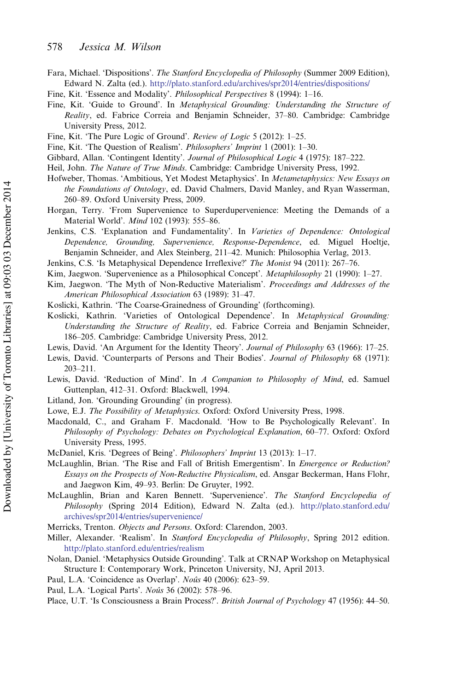- <span id="page-45-0"></span>Fara, Michael. 'Dispositions'. The Stanford Encyclopedia of Philosophy (Summer 2009 Edition), Edward N. Zalta (ed.). <http://plato.stanford.edu/archives/spr2014/entries/dispositions/>
- Fine, Kit. 'Essence and Modality'. Philosophical Perspectives 8 (1994): 1–16.
- Fine, Kit. 'Guide to Ground'. In Metaphysical Grounding: Understanding the Structure of Reality, ed. Fabrice Correia and Benjamin Schneider, 37–80. Cambridge: Cambridge University Press, 2012.
- Fine, Kit. 'The Pure Logic of Ground'. Review of Logic 5 (2012): 1–25.
- Fine, Kit. 'The Question of Realism'. Philosophers' Imprint 1 (2001): 1–30.
- Gibbard, Allan. 'Contingent Identity'. Journal of Philosophical Logic 4 (1975): 187–222.
- Heil, John. The Nature of True Minds. Cambridge: Cambridge University Press, 1992.
- Hofweber, Thomas. 'Ambitious, Yet Modest Metaphysics'. In Metametaphysics: New Essays on the Foundations of Ontology, ed. David Chalmers, David Manley, and Ryan Wasserman, 260–89. Oxford University Press, 2009.
- Horgan, Terry. 'From Supervenience to Superdupervenience: Meeting the Demands of a Material World'. Mind 102 (1993): 555–86.
- Jenkins, C.S. 'Explanation and Fundamentality'. In Varieties of Dependence: Ontological Dependence, Grounding, Supervenience, Response-Dependence, ed. Miguel Hoeltje, Benjamin Schneider, and Alex Steinberg, 211–42. Munich: Philosophia Verlag, 2013.
- Jenkins, C.S. 'Is Metaphysical Dependence Irreflexive?' The Monist 94 (2011): 267–76.
- Kim, Jaegwon. 'Supervenience as a Philosophical Concept'. Metaphilosophy 21 (1990): 1–27.
- Kim, Jaegwon. 'The Myth of Non-Reductive Materialism'. Proceedings and Addresses of the American Philosophical Association 63 (1989): 31–47.
- Koslicki, Kathrin. 'The Coarse-Grainedness of Grounding' (forthcoming).
- Koslicki, Kathrin. 'Varieties of Ontological Dependence'. In Metaphysical Grounding: Understanding the Structure of Reality, ed. Fabrice Correia and Benjamin Schneider, 186–205. Cambridge: Cambridge University Press, 2012.
- Lewis, David. 'An Argument for the Identity Theory'. Journal of Philosophy 63 (1966): 17–25.
- Lewis, David. 'Counterparts of Persons and Their Bodies'. Journal of Philosophy 68 (1971): 203–211.
- Lewis, David. 'Reduction of Mind'. In A Companion to Philosophy of Mind, ed. Samuel Guttenplan, 412–31. Oxford: Blackwell, 1994.
- Litland, Jon. 'Grounding Grounding' (in progress).
- Lowe, E.J. The Possibility of Metaphysics. Oxford: Oxford University Press, 1998.
- Macdonald, C., and Graham F. Macdonald. 'How to Be Psychologically Relevant'. In Philosophy of Psychology: Debates on Psychological Explanation, 60–77. Oxford: Oxford University Press, 1995.
- McDaniel, Kris. 'Degrees of Being'. Philosophers' Imprint 13 (2013): 1–17.
- McLaughlin, Brian. 'The Rise and Fall of British Emergentism'. In Emergence or Reduction? Essays on the Prospects of Non-Reductive Physicalism, ed. Ansgar Beckerman, Hans Flohr, and Jaegwon Kim, 49–93. Berlin: De Gruyter, 1992.
- McLaughlin, Brian and Karen Bennett. 'Supervenience'. The Stanford Encyclopedia of Philosophy (Spring 2014 Edition), Edward N. Zalta (ed.). [http://plato.stanford.edu/](http://plato.stanford.edu/archives/spr2014/entries/supervenience/) [archives/spr2014/entries/supervenience/](http://plato.stanford.edu/archives/spr2014/entries/supervenience/)
- Merricks, Trenton. Objects and Persons. Oxford: Clarendon, 2003.
- Miller, Alexander. 'Realism'. In Stanford Encyclopedia of Philosophy, Spring 2012 edition. <http://plato.stanford.edu/entries/realism>
- Nolan, Daniel. 'Metaphysics Outside Grounding'. Talk at CRNAP Workshop on Metaphysical Structure I: Contemporary Work, Princeton University, NJ, April 2013.
- Paul, L.A. 'Coincidence as Overlap'. Noûs 40 (2006): 623–59.
- Paul, L.A. 'Logical Parts'. Noûs 36 (2002): 578–96.
- Place, U.T. 'Is Consciousness a Brain Process?'. British Journal of Psychology 47 (1956): 44–50.